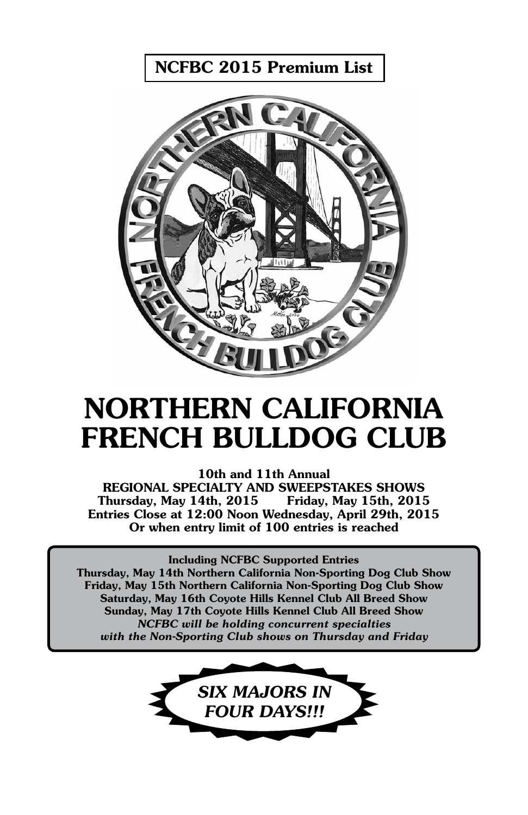NCFBC 2015 Premium List



# NORTHERN CALIFORNIA FRENCH BULLDOG CLUB

10th and 11th Annual REGIONAL SPECIALTY AND SWEEPSTAKES SHOWS Thursday, May 14th, 2015 Friday, May 15th, 2015 Entries Close at 12:00 Noon Wednesday, April 29th, 2015 Or when entry limit of 100 entries is reached

Including NCFBC Supported Entries Thursday, May 14th Northern California Non-Sporting Dog Club Show Friday, May 15th Northern California Non-Sporting Dog Club Show Saturday, May 16th Coyote Hills Kennel Club All Breed Show Sunday, May 17th Coyote Hills Kennel Club All Breed Show *NCFBC will be holding concurrent specialties with the Non-Sporting Club shows on Thursday and Friday*

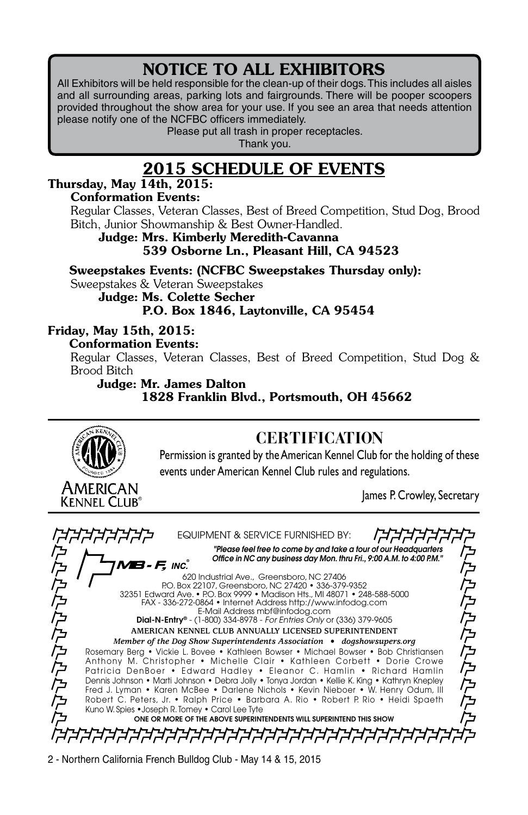### NOTICE TO ALL EXHIBITORS

All Exhibitors will be held responsible for the clean-up of their dogs. This includes all aisles and all surrounding areas, parking lots and fairgrounds. There will be pooper scoopers provided throughout the show area for your use. If you see an area that needs attention please notify one of the NCFBC officers immediately.

Please put all trash in proper receptacles.

Thank you.

### 2015 SCHEDULE OF EVENTS

### Thursday, May 14th, 2015:

#### Conformation Events:

Regular Classes, Veteran Classes, Best of Breed Competition, Stud Dog, Brood Bitch, Junior Showmanship & Best Owner-Handled.

Judge: Mrs. Kimberly Meredith-Cavanna 539 Osborne Ln., Pleasant Hill, CA 94523

Sweepstakes Events: (NCFBC Sweepstakes Thursday only): Sweepstakes & Veteran Sweepstakes

Judge: Ms. Colette Secher

P.O. Box 1846, Laytonville, CA 95454

### Friday, May 15th, 2015:

#### Conformation Events:

Regular Classes, Veteran Classes, Best of Breed Competition, Stud Dog & Brood Bitch

#### Judge: Mr. James Dalton 1828 Franklin Blvd., Portsmouth, OH 45662

# AMERICAN Kennel Club®

### **CERTIFICATION**

Permission is granted by the American Kennel Club for the holding of these events under American Kennel Club rules and regulations.

James P. Crowley, Secretary

Equipment & Service Furnished By: *"Please feel free to come by and take a tour of our Headquarters Office in NC any business day Mon. thru Fri., 9:00 A.M. to 4:00 P.M."* にたたたたたたたたたた こんたんたんたんたん 8-*F.* Inc. 620 Industrial Ave., Greensboro, NC 27406 P.O. Box 22107, Greensboro, NC 27420 • 336-379-9352 32351 Edward Ave. • P.O. Box 9999 • Madison Hts., MI 48071 • 248-588-5000 FAX - 336-272-0864 • Internet Address http://www.infodog.com E-Mail Address mbf@infodog.com Dial-N-Entry® - (1-800) 334-8978 - *For Entries Only* or (336) 379-9605 **American Kennel Club Annually Licensed Superintendent** *Member of the Dog Show Superintendents Association • dogshowsupers.org* Rosemary Berg • Vickie L. Bovee • Kathleen Bowser • Michael Bowser • Bob Christiansen Anthony M. Christopher • Michelle Clair • Kathleen Corbett • Dorie Crowe Patricia DenBoer • Edward Hadley • Eleanor C. Hamlin • Richard Hamlin Dennis Johnson • Marti Johnson • Debra Jolly • Tonya Jordan • Kellie K. King • Kathryn Knepley Fred J. Lyman • Karen McBee • Darlene Nichols • Kevin Nieboer • W. Henry Odum, III Robert C. Peters, Jr. • Ralph Price • Barbara A. Rio • Robert P. Rio • Heidi Spaeth Kuno W. Spies •Joseph R. Tomey • Carol Lee Tyte One Or More Of The Above Superintendents Will Superintend This Show*ĔĔĔĔĔĔĔĔĔĔĔĔĔĔĔĔĔĔĔĔĔĔĔĔĔĔĔĔĔĔĔ*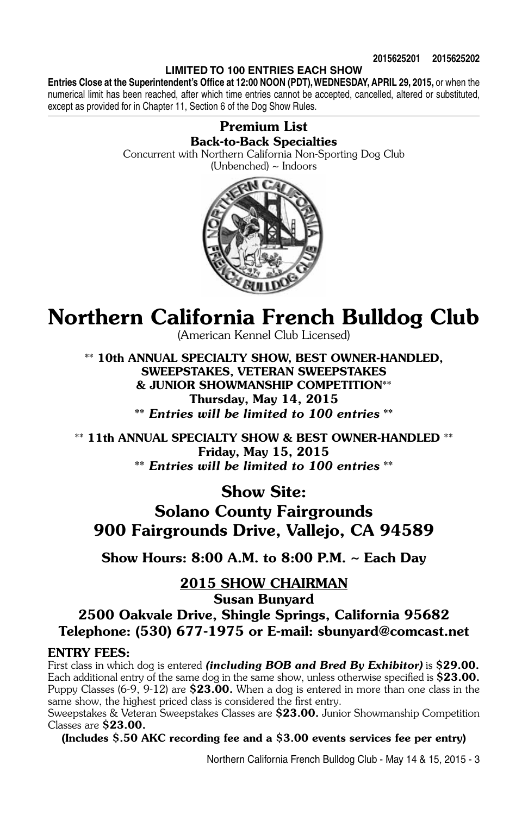#### **LIMITED TO 100 ENTRIES EACH SHOW**

**Entries Close at the Superintendent's Office at 12:00 Noon (PDT), WEDNESDAY, APRIL 29, 2015,** or when the numerical limit has been reached, after which time entries cannot be accepted, cancelled, altered or substituted, except as provided for in Chapter 11, Section 6 of the Dog Show Rules.

#### Premium List Back-to-Back Specialties

Concurrent with Northern California Non-Sporting Dog Club (Unbenched) ~ Indoors



## Northern California French Bulldog Club

(American Kennel Club Licensed)

\*\* 10th Annual Specialty Show, BEST OWNER-HANDLED, Sweepstakes, VETERAN SWEEPSTAKES & JUNIOR SHOWMANSHIP COMPETITION\*\* Thursday, May 14, 2015 \*\* *Entries will be limited to 100 entries* \*\*

\*\* 11th ANNUAL SPECIALTY SHOW & BEST OWNER-HANDLED \*\* Friday, May 15, 2015 \*\* *Entries will be limited to 100 entries* \*\*

Show Site:

Solano County Fairgrounds 900 Fairgrounds Drive, Vallejo, CA 94589

Show Hours: 8:00 A.M. to 8:00 P.M. ~ Each Day

2015 Show Chairman

Susan Bunyard

2500 Oakvale Drive, Shingle Springs, California 95682 Telephone: (530) 677-1975 or E-mail: sbunyard@comcast.net

#### ENTRY FEES:

First class in which dog is entered *(including BOB and Bred By Exhibitor)* is \$29.00. Each additional entry of the same dog in the same show, unless otherwise specified is \$23.00. Puppy Classes  $(6-9, 9-12)$  are  $$23.00$ . When a dog is entered in more than one class in the same show, the highest priced class is considered the first entry.

Sweepstakes & Veteran Sweepstakes Classes are \$23.00. Junior Showmanship Competition Classes are \$23.00.

(Includes \$.50 AKC recording fee and a \$3.00 events services fee per entry)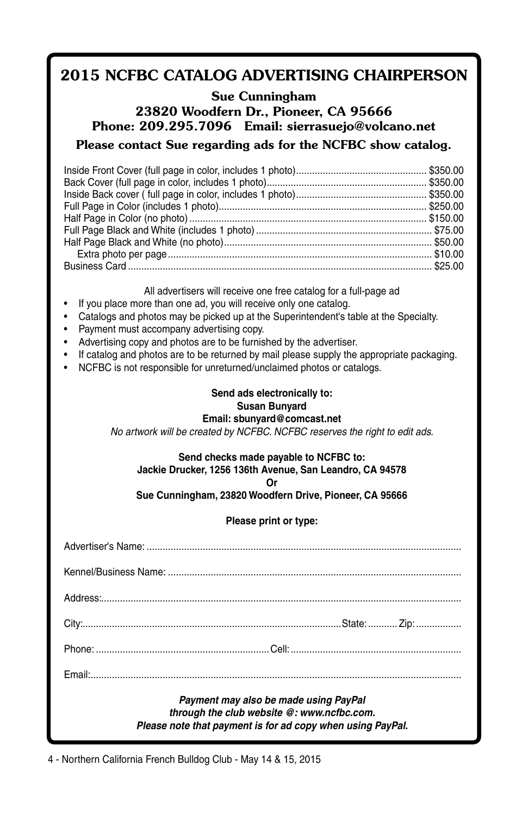### 2015 NCFBC CATALOG ADVERTISING CHAIRPERSON

#### Sue Cunningham 23820 Woodfern Dr., Pioneer, CA 95666 Phone: 209.295.7096 Email: sierrasuejo@volcano.net Please contact Sue regarding ads for the NCFBC show catalog.

All advertisers will receive one free catalog for a full-page ad

- If you place more than one ad, you will receive only one catalog.
- Catalogs and photos may be picked up at the Superintendent's table at the Specialty.
- Payment must accompany advertising copy.
- Advertising copy and photos are to be furnished by the advertiser.
- If catalog and photos are to be returned by mail please supply the appropriate packaging.
- NCFBC is not responsible for unreturned/unclaimed photos or catalogs.

#### **Send ads electronically to: Susan Bunyard Email: sbunyard@comcast.net**

*No artwork will be created by NCFBC. NCFBC reserves the right to edit ads.*

#### **Send checks made payable to NCFBC to:**

**Jackie Drucker, 1256 136th Avenue, San Leandro, CA 94578**

**Or**

**Sue Cunningham, 23820 Woodfern Drive, Pioneer, CA 95666**

**Please print or type:**

| Payment may also be made using PayPal<br>through the club website @: www.ncfbc.com.<br>Please note that payment is for ad copy when using PayPal. |  |  |
|---------------------------------------------------------------------------------------------------------------------------------------------------|--|--|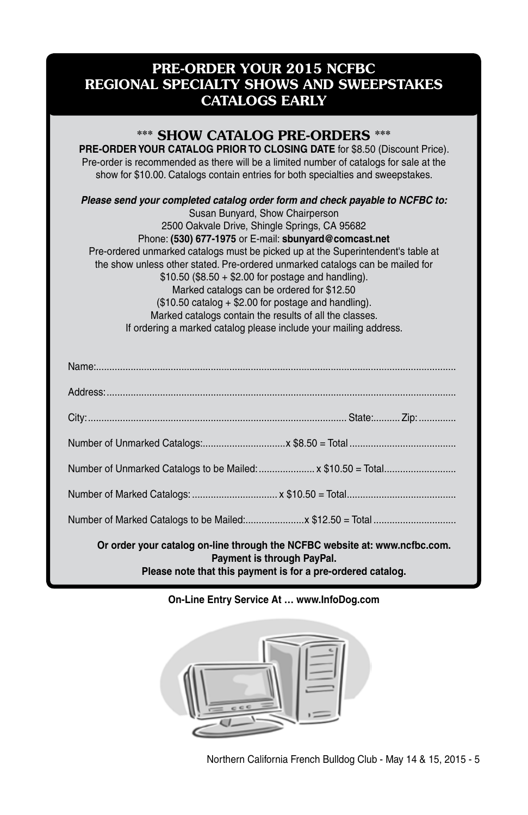### PRE-ORDER YOUR 2015 NCFBC REGIONAL SPECIALTY SHOWS AND SWEEPSTAKES CATALOGS EARLY

### \*\*\* SHOW CATALOG PRE-ORDERS \*\*\*

**PRE-ORDER YOUR CATALOG PRIOR TO CLOSING DATE** for \$8.50 (Discount Price). Pre-order is recommended as there will be a limited number of catalogs for sale at the show for \$10.00. Catalogs contain entries for both specialties and sweepstakes.

*Please send your completed catalog order form and check payable to NCFBC to:*

Susan Bunyard, Show Chairperson 2500 Oakvale Drive, Shingle Springs, CA 95682 Phone: **(530) 677-1975** or E-mail: **sbunyard@comcast.net** Pre-ordered unmarked catalogs must be picked up at the Superintendent's table at the show unless other stated. Pre-ordered unmarked catalogs can be mailed for  $$10.50 ($8.50 + $2.00 for postage and handling).$ Marked catalogs can be ordered for \$12.50 (\$10.50 catalog + \$2.00 for postage and handling). Marked catalogs contain the results of all the classes. If ordering a marked catalog please include your mailing address.

| Number of Unmarked Catalogs to be Mailed:  x \$10.50 = Total                                                                                                            |  |  |
|-------------------------------------------------------------------------------------------------------------------------------------------------------------------------|--|--|
|                                                                                                                                                                         |  |  |
|                                                                                                                                                                         |  |  |
| Or order your catalog on-line through the NCFBC website at: www.ncfbc.com.<br>Payment is through PayPal.<br>Please note that this payment is for a pre-ordered catalog. |  |  |

#### **On-Line Entry Service At … www.InfoDog.com**

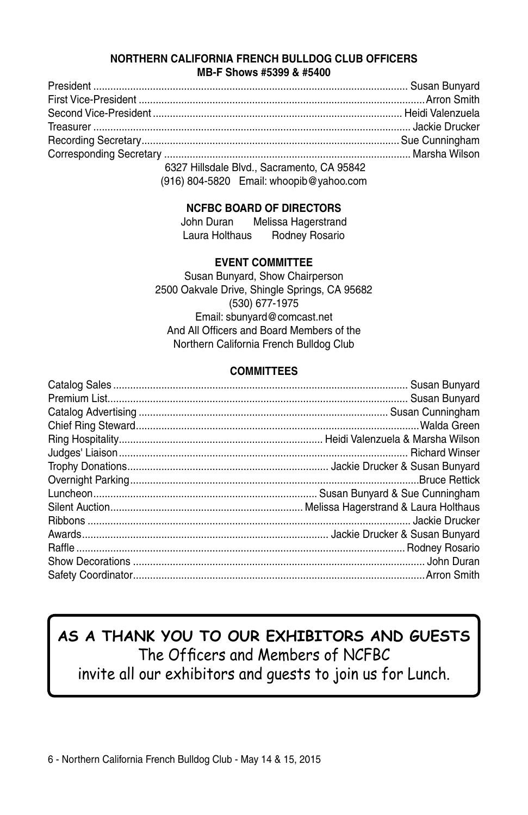#### **NORTHERN CALIFORNIA FRENCH BULLDOG CLUB OFFICERS MB-F Shows #5399 & #5400**

| COOZILU-dele Diul Ossexuante CAOFO40 |  |
|--------------------------------------|--|

 6327 Hillsdale Blvd., Sacramento, CA 95842 (916) 804-5820 Email: whoopib@yahoo.com

#### **NCFBC BOARD OF DIRECTORS**

| John Duran     | Melissa Hagerstrand |
|----------------|---------------------|
| Laura Holthaus | Rodney Rosario      |

#### **EVENT COMMITTEE**

Susan Bunyard, Show Chairperson 2500 Oakvale Drive, Shingle Springs, CA 95682 (530) 677-1975 Email: sbunyard@comcast.net And All Officers and Board Members of the Northern California French Bulldog Club

#### **COMMITTEES**

### **AS A THANK YOU TO OUR EXHIBITORS AND GUESTS** The Officers and Members of NCFBC invite all our exhibitors and guests to join us for Lunch.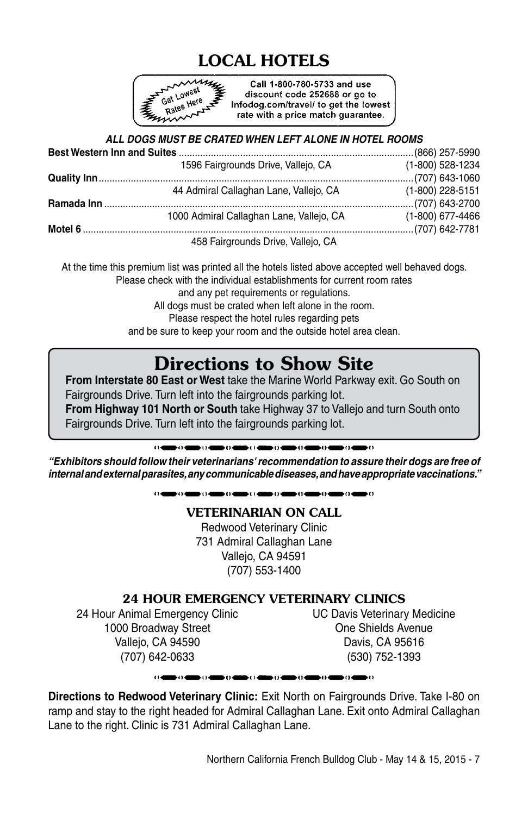## LOCAL HOTELS



Call 1-800-780-5733 and use discount code 252688 or go to Infodog.com/travel/ to get the lowest rate with a price match guarantee.

#### *ALL DOGS MUST BE CRATED WHEN LEFT ALONE IN HOTEL ROOMS*

| 1596 Fairgrounds Drive, Vallejo, CA      | (1-800) 528-1234   |
|------------------------------------------|--------------------|
|                                          |                    |
| 44 Admiral Callaghan Lane, Vallejo, CA   | $(1-800)$ 228-5151 |
|                                          |                    |
| 1000 Admiral Callaghan Lane, Vallejo, CA | $(1-800)$ 677-4466 |
|                                          |                    |
| 458 Fairgrounds Drive, Vallejo, CA       |                    |

At the time this premium list was printed all the hotels listed above accepted well behaved dogs. Please check with the individual establishments for current room rates and any pet requirements or regulations. All dogs must be crated when left alone in the room. Please respect the hotel rules regarding pets and be sure to keep your room and the outside hotel area clean.

### Directions to Show Site

**From Interstate 80 East or West** take the Marine World Parkway exit. Go South on Fairgrounds Drive. Turn left into the fairgrounds parking lot. **From Highway 101 North or South** take Highway 37 to Vallejo and turn South onto Fairgrounds Drive. Turn left into the fairgrounds parking lot.

> .<br>Do 4000 (1400) (1400-1400)  $\alpha$  and  $\alpha$  and bin an e comme co

*"Exhibitors should follow their veterinarians' recommendation to assure their dogs are free of internal and external parasites, any communicable diseases, and have appropriate vaccinations."*

> المرابط والمتناور والمسترقي والمستناور والمستنقر والمستناور والمت e comme co

#### VETERINARIAN ON CALL

Redwood Veterinary Clinic 731 Admiral Callaghan Lane Valleio, CA 94591 (707) 553-1400

#### 24 HOUR EMERGENCY VETERINARY CLINICS

24 Hour Animal Emergency Clinic UC Davis Veterinary Medicine 1000 Broadway Street **One Shields Avenue** Vallejo, CA 94590 Davis, CA 95616 (707) 642-0633 (530) 752-1393

#### 

**Directions to Redwood Veterinary Clinic:** Exit North on Fairgrounds Drive. Take I-80 on ramp and stay to the right headed for Admiral Callaghan Lane. Exit onto Admiral Callaghan Lane to the right. Clinic is 731 Admiral Callaghan Lane.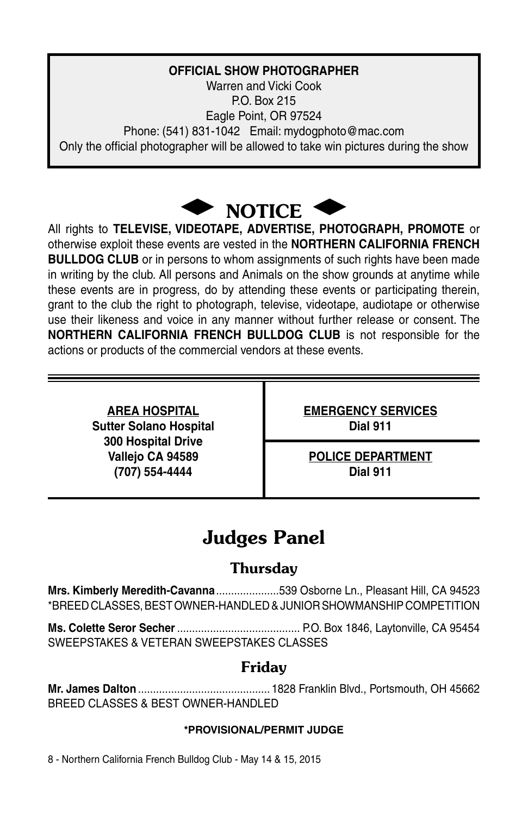### **OFFICIAL SHOW PHOTOGRAPHER**

Warren and Vicki Cook P.O. Box 215 Eagle Point, OR 97524 Phone: (541) 831-1042 Email: mydogphoto@mac.com Only the official photographer will be allowed to take win pictures during the show



All rights to **TELEVISE, VIDEOTAPE, ADVERTISE, PHOTOGRAPH, PROMOTE** or otherwise exploit these events are vested in the **NORTHERN CALIFORNIA FRENCH BULLDOG CLUB** or in persons to whom assignments of such rights have been made in writing by the club. All persons and Animals on the show grounds at anytime while these events are in progress, do by attending these events or participating therein, grant to the club the right to photograph, televise, videotape, audiotape or otherwise use their likeness and voice in any manner without further release or consent. The **NORTHERN CALIFORNIA FRENCH BULLDOG CLUB** is not responsible for the actions or products of the commercial vendors at these events.

> **Sutter Solano Hospital Dial 911 300 Hospital Drive (707) 554-4444 Dial 911**

**AREA HOSPITAL EMERGENCY SERVICES**

Vallejo CA 94589 **POLICE DEPARTMENT** 

### Judges Panel

### **Thursday**

**Mrs. Kimberly Meredith-Cavanna**.....................539 Osborne Ln., Pleasant Hill, CA 94523 \*BREED CLASSES, BEST OWNER-HANDLED & Junior Showmanship Competition

**Ms. Colette Seror Secher**......................................... P.O. Box 1846, Laytonville, CA 95454 SWEEPSTAKES & VETERAN SWEEPSTAKES CLASSES

### Friday

**Mr. James Dalton** ............................................ 1828 Franklin Blvd., Portsmouth, OH 45662 BREED CLASSES & BEST OWNER-HANDLED.

#### **\*provisional/permit Judge**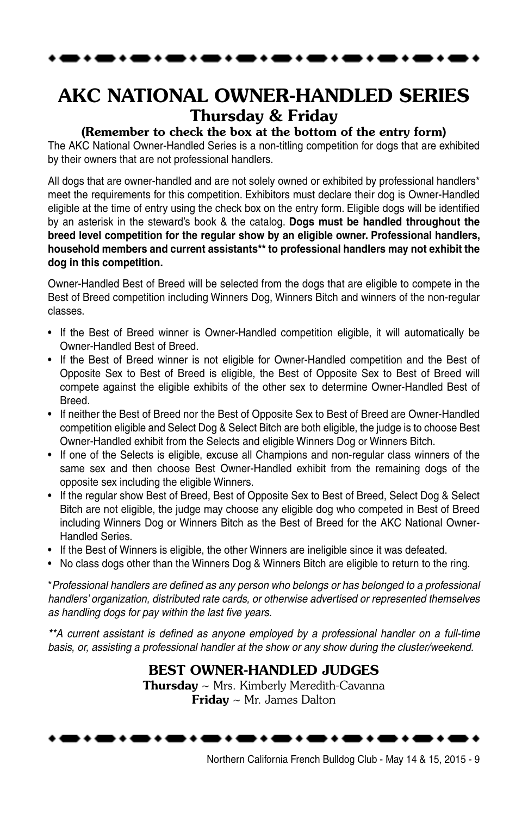### AKC NATIONAL OWNER-HANDLED SERIES Thursday & Friday

#### (Remember to check the box at the bottom of the entry form)

The AKC National Owner-Handled Series is a non-titling competition for dogs that are exhibited by their owners that are not professional handlers.

All dogs that are owner-handled and are not solely owned or exhibited by professional handlers\* meet the requirements for this competition. Exhibitors must declare their dog is Owner-Handled eligible at the time of entry using the check box on the entry form. Eligible dogs will be identified by an asterisk in the steward's book & the catalog. **Dogs must be handled throughout the breed level competition for the regular show by an eligible owner. Professional handlers, household members and current assistants\*\* to professional handlers may not exhibit the dog in this competition.** 

Owner-Handled Best of Breed will be selected from the dogs that are eligible to compete in the Best of Breed competition including Winners Dog, Winners Bitch and winners of the non-regular classes.

- If the Best of Breed winner is Owner-Handled competition eligible, it will automatically be Owner-Handled Best of Breed.
- If the Best of Breed winner is not eligible for Owner-Handled competition and the Best of Opposite Sex to Best of Breed is eligible, the Best of Opposite Sex to Best of Breed will compete against the eligible exhibits of the other sex to determine Owner-Handled Best of Breed.
- If neither the Best of Breed nor the Best of Opposite Sex to Best of Breed are Owner-Handled competition eligible and Select Dog & Select Bitch are both eligible, the judge is to choose Best Owner-Handled exhibit from the Selects and eligible Winners Dog or Winners Bitch.
- If one of the Selects is eligible, excuse all Champions and non-regular class winners of the same sex and then choose Best Owner-Handled exhibit from the remaining dogs of the opposite sex including the eligible Winners.
- If the regular show Best of Breed, Best of Opposite Sex to Best of Breed, Select Dog & Select Bitch are not eligible, the judge may choose any eligible dog who competed in Best of Breed including Winners Dog or Winners Bitch as the Best of Breed for the AKC National Owner-Handled Series.
- If the Best of Winners is eligible, the other Winners are ineligible since it was defeated.
- No class dogs other than the Winners Dog & Winners Bitch are eligible to return to the ring.

\**Professional handlers are defined as any person who belongs or has belonged to a professional handlers' organization, distributed rate cards, or otherwise advertised or represented themselves as handling dogs for pay within the last five years.*

*\*\*A current assistant is defined as anyone employed by a professional handler on a full-time basis, or, assisting a professional handler at the show or any show during the cluster/weekend.*

#### Best Owner-Handled JUDGES

**Thursday**  $\sim$  Mrs. Kimberly Meredith-Cavanna Friday ~ Mr. James Dalton

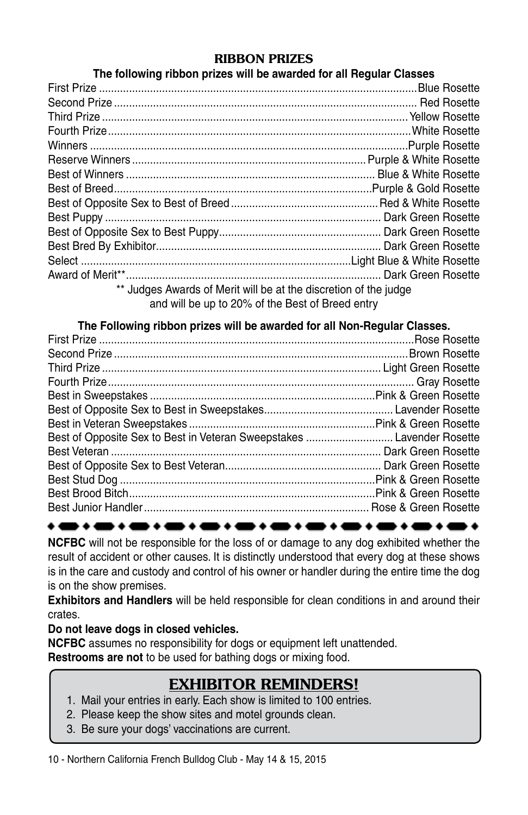#### RIBBON PRIZES

#### **The following ribbon prizes will be awarded for all Regular Classes**

| ** Judges Awards of Merit will be at the discretion of the judge |  |  |  |
|------------------------------------------------------------------|--|--|--|
| and will be up to 20% of the Best of Breed entry                 |  |  |  |

**The Following ribbon prizes will be awarded for all Non-Regular Classes.**

| Best of Opposite Sex to Best in Veteran Sweepstakes  Lavender Rosette |
|-----------------------------------------------------------------------|
|                                                                       |
|                                                                       |
|                                                                       |
|                                                                       |
|                                                                       |
|                                                                       |

**NCFBC** will not be responsible for the loss of or damage to any dog exhibited whether the result of accident or other causes. It is distinctly understood that every dog at these shows is in the care and custody and control of his owner or handler during the entire time the dog is on the show premises.

**Exhibitors and Handlers** will be held responsible for clean conditions in and around their crates.

#### **Do not leave dogs in closed vehicles.**

**NCFBC** assumes no responsibility for dogs or equipment left unattended.

**Restrooms are not** to be used for bathing dogs or mixing food.

### EXHIBITOR REMINDERS!

- 1. Mail your entries in early. Each show is limited to 100 entries.
- 2. Please keep the show sites and motel grounds clean.
- 3. Be sure your dogs' vaccinations are current.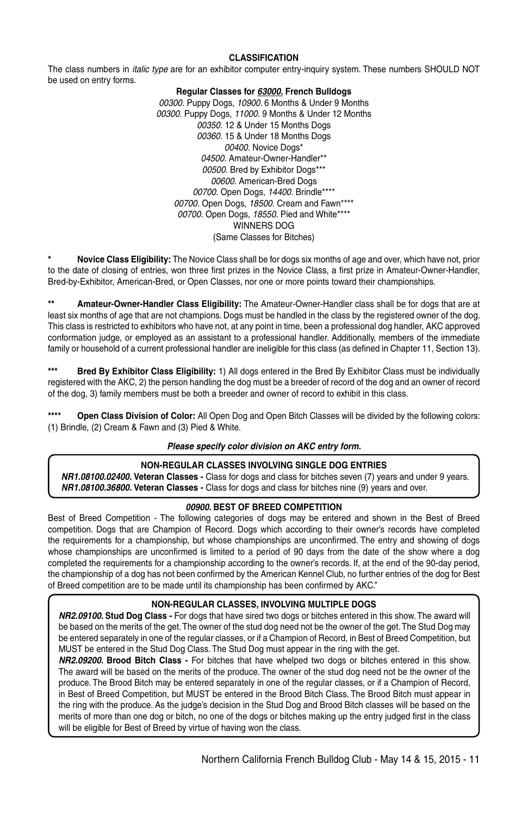#### **CLASSIFICATION**

The class numbers in *italic type* are for an exhibitor computer entry-inquiry system. These numbers SHOULD NOT be used on entry forms.

#### **Regular Classes for** *63000.* **French Bulldogs**

*00300.* Puppy Dogs, *10900.* 6 Months & Under 9 Months *00300.* Puppy Dogs, *11000.* 9 Months & Under 12 Months *00350.* 12 & Under 15 Months Dogs *00360.* 15 & Under 18 Months Dogs *00400.* Novice Dogs\* *04500.* Amateur-Owner-Handler\*\* *00500.* Bred by Exhibitor Dogs\*\*\* *00600.* American-Bred Dogs *00700.* Open Dogs, *14400.* Brindle\*\*\*\* *00700.* Open Dogs, *18500.* Cream and Fawn\*\*\*\* *00700.* Open Dogs, *18550.* Pied and White\*\*\*\* WINNERS DOG (Same Classes for Bitches)

**\* Novice Class Eligibility:** The Novice Class shall be for dogs six months of age and over, which have not, prior to the date of closing of entries, won three first prizes in the Novice Class, a first prize in Amateur-Owner-Handler, Bred-by-Exhibitor, American-Bred, or Open Classes, nor one or more points toward their championships.

**\*\* Amateur-Owner-Handler Class Eligibility:** The Amateur-Owner-Handler class shall be for dogs that are at least six months of age that are not champions. Dogs must be handled in the class by the registered owner of the dog. This class is restricted to exhibitors who have not, at any point in time, been a professional dog handler, AKC approved conformation judge, or employed as an assistant to a professional handler. Additionally, members of the immediate family or household of a current professional handler are ineligible for this class (as defined in Chapter 11, Section 13).

**\*\*\* Bred By Exhibitor Class Eligibility:** 1) All dogs entered in the Bred By Exhibitor Class must be individually registered with the AKC, 2) the person handling the dog must be a breeder of record of the dog and an owner of record of the dog, 3) family members must be both a breeder and owner of record to exhibit in this class.

**\*\*\*\* Open Class Division of Color:** All Open Dog and Open Bitch Classes will be divided by the following colors: (1) Brindle, (2) Cream & Fawn and (3) Pied & White.

#### *Please specify color division on AKC entry form.*

#### **Non-Regular Classes Involving Single Dog Entries**

*NR1.08100.02400.* **Veteran Classes -** Class for dogs and class for bitches seven (7) years and under 9 years. *NR1.08100.36800.* **Veteran Classes -** Class for dogs and class for bitches nine (9) years and over.

#### *00900.* **BEST OF BREED COMPETITION**

Best of Breed Competition - The following categories of dogs may be entered and shown in the Best of Breed competition. Dogs that are Champion of Record. Dogs which according to their owner's records have completed the requirements for a championship, but whose championships are unconfirmed. The entry and showing of dogs whose championships are unconfirmed is limited to a period of 90 days from the date of the show where a dog completed the requirements for a championship according to the owner's records. If, at the end of the 90-day period, the championship of a dog has not been confirmed by the American Kennel Club, no further entries of the dog for Best of Breed competition are to be made until its championship has been confirmed by AKC."

#### **NON-REGULAR CLASSES, INVOLVING MULTIPLE DOGS**

*NR2.09100.* **Stud Dog Class -** For dogs that have sired two dogs or bitches entered in this show. The award will be based on the merits of the get. The owner of the stud dog need not be the owner of the get. The Stud Dog may be entered separately in one of the regular classes, or if a Champion of Record, in Best of Breed Competition, but MUST be entered in the Stud Dog Class. The Stud Dog must appear in the ring with the get.

*NR2.09200.* **Brood Bitch Class -** For bitches that have whelped two dogs or bitches entered in this show. The award will be based on the merits of the produce. The owner of the stud dog need not be the owner of the produce. The Brood Bitch may be entered separately in one of the regular classes, or if a Champion of Record, in Best of Breed Competition, but MUST be entered in the Brood Bitch Class. The Brood Bitch must appear in the ring with the produce. As the judge's decision in the Stud Dog and Brood Bitch classes will be based on the merits of more than one dog or bitch, no one of the dogs or bitches making up the entry judged first in the class will be eligible for Best of Breed by virtue of having won the class.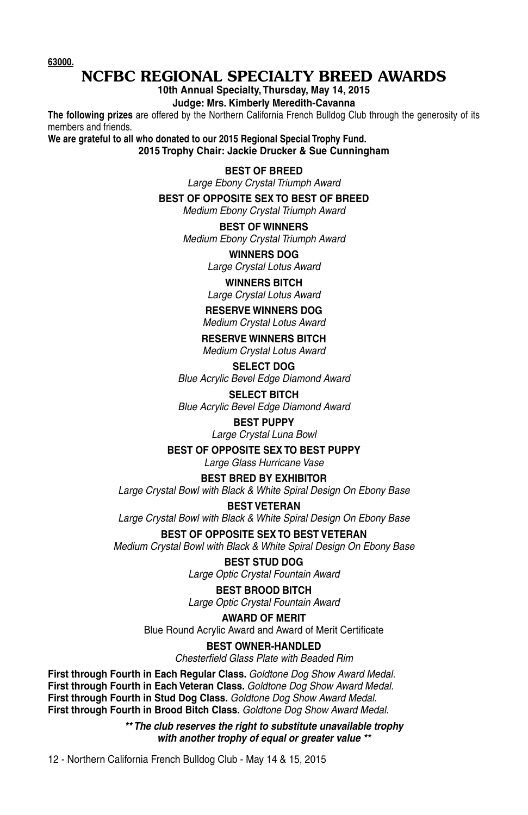**63000.**

### NCFBC REGIONAL SPECIALTY BREED AWARDS

**10th Annual Specialty, Thursday, May 14, 2015**

**Judge: Mrs. Kimberly Meredith-Cavanna**

**The following prizes** are offered by the Northern California French Bulldog Club through the generosity of its members and friends.

**We are grateful to all who donated to our 2015 Regional Special Trophy Fund. 2015 Trophy Chair: Jackie Drucker & Sue Cunningham**

#### **BEST OF BREED**

*Large Ebony Crystal Triumph Award*

**BEST OF OPPOSITE SEX TO BEST OF BREED**

*Medium Ebony Crystal Triumph Award*

#### **BEST OF WINNERS**

*Medium Ebony Crystal Triumph Award*

#### **WINNERS DOG**

*Large Crystal Lotus Award*

#### **WINNERS BITCH**

*Large Crystal Lotus Award*

#### **RESERVE WINNERS DOG**

*Medium Crystal Lotus Award*

**RESERVE WINNERS BITCH** *Medium Crystal Lotus Award*

#### **SELECT DOG** *Blue Acrylic Bevel Edge Diamond Award*

**SELECT BITCH** *Blue Acrylic Bevel Edge Diamond Award*

#### **BEST PUPPY**

*Large Crystal Luna Bowl*

#### **BEST OF OPPOSITE SEX TO BEST PUPPY**

*Large Glass Hurricane Vase*

#### **BEST BRED BY EXHIBITOR**

*Large Crystal Bowl with Black & White Spiral Design On Ebony Base*

#### **BEST VETERAN**

*Large Crystal Bowl with Black & White Spiral Design On Ebony Base*

#### **BEST OF OPPOSITE SEX TO BEST VETERAN**

*Medium Crystal Bowl with Black & White Spiral Design On Ebony Base*

#### **BEST STUD DOG**

*Large Optic Crystal Fountain Award*

#### **BEST BROOD BITCH**

*Large Optic Crystal Fountain Award*

#### **AWARD OF MERIT**

Blue Round Acrylic Award and Award of Merit Certificate

### **BEST OWNER-HANDLED**

*Chesterfield Glass Plate with Beaded Rim*

#### **First through Fourth in Each Regular Class.** *Goldtone Dog Show Award Medal.* **First through Fourth in Each Veteran Class.** *Goldtone Dog Show Award Medal.* **First through Fourth in Stud Dog Class.** *Goldtone Dog Show Award Medal.* **First through Fourth in Brood Bitch Class.** *Goldtone Dog Show Award Medal.*

*\*\* The club reserves the right to substitute unavailable trophy with another trophy of equal or greater value \*\**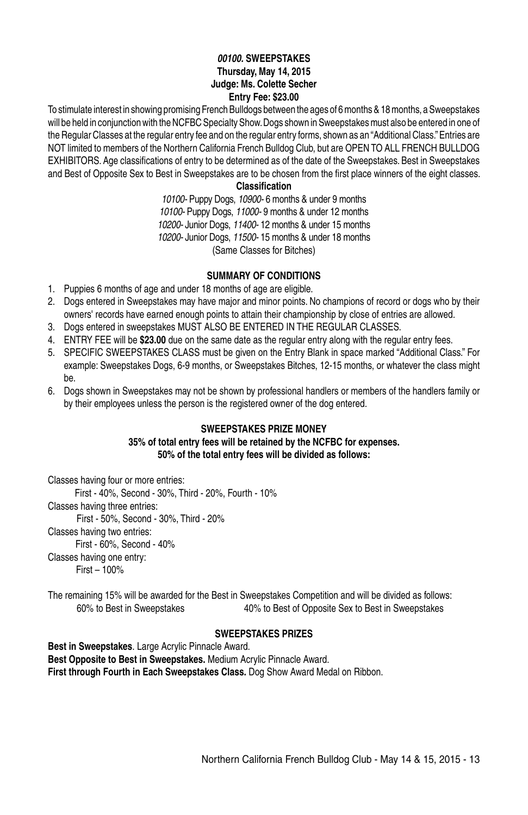#### *00100.* **SWEEPSTAKES Thursday, May 14, 2015 Judge: Ms. Colette Secher Entry Fee: \$23.00**

To stimulate interest in showing promising French Bulldogs between the ages of 6 months & 18 months, a Sweepstakes will be held in conjunction with the NCFBC Specialty Show. Dogs shown in Sweepstakes must also be entered in one of the Regular Classes at the regular entry fee and on the regular entry forms, shown as an "Additional Class." Entries are NOT limited to members of the Northern California French Bulldog Club, but are OPEN TO ALL FRENCH BULLDOG EXHIBITORS. Age classifications of entry to be determined as of the date of the Sweepstakes. Best in Sweepstakes and Best of Opposite Sex to Best in Sweepstakes are to be chosen from the first place winners of the eight classes.

**Classification**

*10100-* Puppy Dogs, *10900-* 6 months & under 9 months *10100-* Puppy Dogs, *11000-* 9 months & under 12 months *10200-* Junior Dogs, *11400-* 12 months & under 15 months *10200-* Junior Dogs, *11500-* 15 months & under 18 months (Same Classes for Bitches)

#### **SUMMARY OF CONDITIONS**

- 1. Puppies 6 months of age and under 18 months of age are eligible.
- 2. Dogs entered in Sweepstakes may have major and minor points. No champions of record or dogs who by their owners' records have earned enough points to attain their championship by close of entries are allowed.
- 3. Dogs entered in sweepstakes MUST ALSO BE ENTERED IN THE REGULAR CLASSES.
- 4. ENTRY FEE will be **\$23.00** due on the same date as the regular entry along with the regular entry fees.
- 5. SPECIFIC SWEEPSTAKES CLASS must be given on the Entry Blank in space marked "Additional Class." For example: Sweepstakes Dogs, 6-9 months, or Sweepstakes Bitches, 12-15 months, or whatever the class might be.
- 6. Dogs shown in Sweepstakes may not be shown by professional handlers or members of the handlers family or by their employees unless the person is the registered owner of the dog entered.

#### **SWEEPSTAKES PRIZE MONEY 35% of total entry fees will be retained by the NCFBC for expenses. 50% of the total entry fees will be divided as follows:**

Classes having four or more entries: First - 40%, Second - 30%, Third - 20%, Fourth - 10% Classes having three entries: First - 50%, Second - 30%, Third - 20% Classes having two entries: First - 60%, Second - 40% Classes having one entry: First – 100%

The remaining 15% will be awarded for the Best in Sweepstakes Competition and will be divided as follows: 60% to Best in Sweepstakes 40% to Best of Opposite Sex to Best in Sweepstakes

#### **SWEEPSTAKES PRIZES**

**Best in Sweepstakes**. Large Acrylic Pinnacle Award. **Best Opposite to Best in Sweepstakes.** Medium Acrylic Pinnacle Award. **First through Fourth in Each Sweepstakes Class.** Dog Show Award Medal on Ribbon.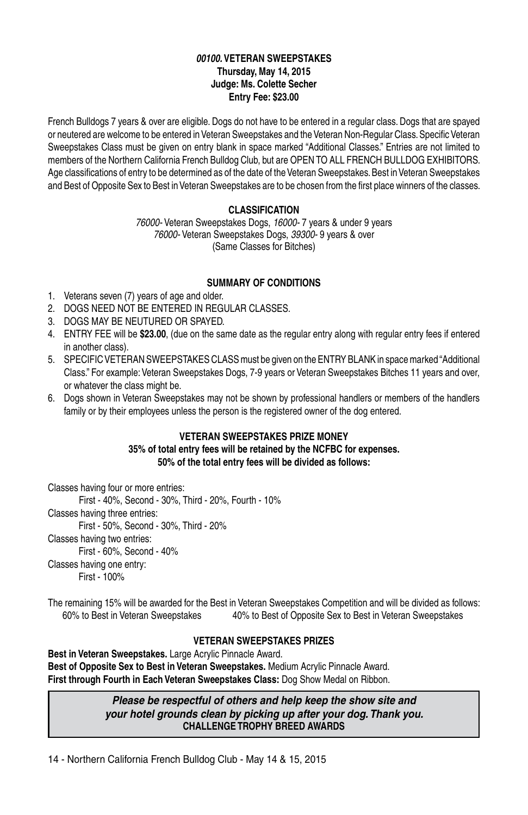#### *00100.* **VETERAN SWEEPSTAKES Thursday, May 14, 2015 Judge: Ms. Colette Secher Entry Fee: \$23.00**

French Bulldogs 7 years & over are eligible. Dogs do not have to be entered in a regular class. Dogs that are spayed or neutered are welcome to be entered in Veteran Sweepstakes and the Veteran Non-Regular Class. Specific Veteran Sweepstakes Class must be given on entry blank in space marked "Additional Classes." Entries are not limited to members of the Northern California French Bulldog Club, but are OPEN TO ALL FRENCH BULLDOG EXHIBITORS. Age classifications of entry to be determined as of the date of the Veteran Sweepstakes. Best in Veteran Sweepstakes and Best of Opposite Sex to Best in Veteran Sweepstakes are to be chosen from the first place winners of the classes.

#### **Classification**

*76000-* Veteran Sweepstakes Dogs, *16000-* 7 years & under 9 years *76000-* Veteran Sweepstakes Dogs, *39300-* 9 years & over (Same Classes for Bitches)

#### **SUMMARY OF CONDITIONS**

- 1. Veterans seven (7) years of age and older.
- 2. DOGS NEED NOT BE ENTERED IN REGULAR CLASSES.
- 3. DOGS MAY BE NEUTURED OR SPAYED.
- 4. ENTRY FEE will be **\$23.00**, (due on the same date as the regular entry along with regular entry fees if entered in another class).
- 5. SPECIFIC VETERAN SWEEPSTAKES CLASS must be given on the ENTRY BLANK in space marked "Additional Class." For example: Veteran Sweepstakes Dogs, 7-9 years or Veteran Sweepstakes Bitches 11 years and over, or whatever the class might be.
- 6. Dogs shown in Veteran Sweepstakes may not be shown by professional handlers or members of the handlers family or by their employees unless the person is the registered owner of the dog entered.

#### **VETERAN SWEEPSTAKES PRIZE MONEY**

**35% of total entry fees will be retained by the NCFBC for expenses. 50% of the total entry fees will be divided as follows:**

Classes having four or more entries:

First - 40%, Second - 30%, Third - 20%, Fourth - 10% Classes having three entries:

First - 50%, Second - 30%, Third - 20%

Classes having two entries:

First - 60%, Second - 40%

Classes having one entry:

First - 100%

The remaining 15% will be awarded for the Best in Veteran Sweepstakes Competition and will be divided as follows: 60% to Best in Veteran Sweepstakes 40% to Best of Opposite Sex to Best in Veteran Sweepstakes

#### **VETERAN SWEEPSTAKES PRIZES**

**Best in Veteran Sweepstakes.** Large Acrylic Pinnacle Award. **Best of Opposite Sex to Best in Veteran Sweepstakes.** Medium Acrylic Pinnacle Award. **First through Fourth in Each Veteran Sweepstakes Class:** Dog Show Medal on Ribbon.

> *Please be respectful of others and help keep the show site and your hotel grounds clean by picking up after your dog. Thank you.* **CHALLENGE TROPHY BREED AWARDS**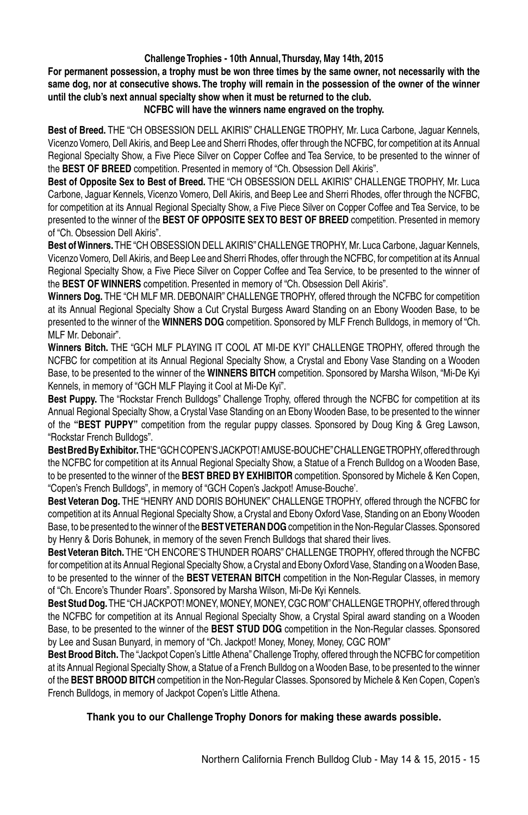#### **Challenge Trophies - 10th Annual, Thursday, May 14th, 2015**

**For permanent possession, a trophy must be won three times by the same owner, not necessarily with the same dog, nor at consecutive shows. The trophy will remain in the possession of the owner of the winner until the club's next annual specialty show when it must be returned to the club.**

#### **NCFBC will have the winners name engraved on the trophy.**

Best of Breed. THE "CH OBSESSION DELL AKIRIS" CHALLENGE TROPHY, Mr. Luca Carbone, Jaguar Kennels, Vicenzo Vomero, Dell Akiris, and Beep Lee and Sherri Rhodes, offer through the NCFBC, for competition at its Annual Regional Specialty Show, a Five Piece Silver on Copper Coffee and Tea Service, to be presented to the winner of the **BEST OF BREED** competition. Presented in memory of "Ch. Obsession Dell Akiris".

**Best of Opposite Sex to Best of Breed.** The "CH Obsession Dell Akiris" Challenge Trophy, Mr. Luca Carbone, Jaguar Kennels, Vicenzo Vomero, Dell Akiris, and Beep Lee and Sherri Rhodes, offer through the NCFBC, for competition at its Annual Regional Specialty Show, a Five Piece Silver on Copper Coffee and Tea Service, to be presented to the winner of the **BEST OF OPPOSITE SEX TO BEST OF BREED** competition. Presented in memory of "Ch. Obsession Dell Akiris".

**Best of Winners.** The "CH Obsession Dell Akiris" Challenge Trophy, Mr. Luca Carbone, Jaguar Kennels, Vicenzo Vomero, Dell Akiris, and Beep Lee and Sherri Rhodes, offer through the NCFBC, for competition at its Annual Regional Specialty Show, a Five Piece Silver on Copper Coffee and Tea Service, to be presented to the winner of the **BEST OF WINNERS** competition. Presented in memory of "Ch. Obsession Dell Akiris".

Winners Dog. THE "CH MLF MR. DEBONAIR" CHALLENGE TROPHY, offered through the NCFBC for competition at its Annual Regional Specialty Show a Cut Crystal Burgess Award Standing on an Ebony Wooden Base, to be presented to the winner of the **WINNERS DOG** competition. Sponsored by MLF French Bulldogs, in memory of "Ch. MLF Mr. Debonair".

Winners Bitch. THE "GCH MLF PLAYING IT COOL AT MI-DE KYI" CHALLENGE TROPHY, offered through the NCFBC for competition at its Annual Regional Specialty Show, a Crystal and Ebony Vase Standing on a Wooden Base, to be presented to the winner of the **WINNERS BITCH** competition. Sponsored by Marsha Wilson, "Mi-De Kyi Kennels, in memory of "GCH MLF Playing it Cool at Mi-De Kyi".

**Best Puppy.** The "Rockstar French Bulldogs" Challenge Trophy, offered through the NCFBC for competition at its Annual Regional Specialty Show, a Crystal Vase Standing on an Ebony Wooden Base, to be presented to the winner of the **"BEST PUPPY"** competition from the regular puppy classes. Sponsored by Doug King & Greg Lawson, "Rockstar French Bulldogs".

**Best Bred By Exhibitor.** THE "GCH COPEN'S JACKPOT! AMUSE-BOUCHE" CHALLENGE TROPHY, offered through the NCFBC for competition at its Annual Regional Specialty Show, a Statue of a French Bulldog on a Wooden Base, to be presented to the winner of the **BEST BRED BY EXHIBITOR** competition. Sponsored by Michele & Ken Copen, "Copen's French Bulldogs", in memory of "GCH Copen's Jackpot! Amuse-Bouche'.

**Best Veteran Dog.** The "Henry and Doris Bohunek" Challenge Trophy, offered through the NCFBC for competition at its Annual Regional Specialty Show, a Crystal and Ebony Oxford Vase, Standing on an Ebony Wooden Base, to be presented to the winner of the **BEST VETERAN DOG** competition in the Non-Regular Classes. Sponsored by Henry & Doris Bohunek, in memory of the seven French Bulldogs that shared their lives.

Best Veteran Bitch. THE "CH ENCORE'S THUNDER ROARS" CHALLENGE TROPHY, offered through the NCFBC for competition at its Annual Regional Specialty Show, a Crystal and Ebony Oxford Vase, Standing on a Wooden Base, to be presented to the winner of the **BEST VETERAN BITCH** competition in the Non-Regular Classes, in memory of "Ch. Encore's Thunder Roars". Sponsored by Marsha Wilson, Mi-De Kyi Kennels.

**Best Stud Dog.**The "CH Jackpot! Money, Money, Money, CGC ROM" Challenge Trophy, offered through the NCFBC for competition at its Annual Regional Specialty Show, a Crystal Spiral award standing on a Wooden Base, to be presented to the winner of the **BEST STUD DOG** competition in the Non-Regular classes. Sponsored by Lee and Susan Bunyard, in memory of "Ch. Jackpot! Money, Money, Money, CGC ROM"

**Best Brood Bitch.** The "Jackpot Copen's Little Athena" Challenge Trophy, offered through the NCFBC for competition at its Annual Regional Specialty Show, a Statue of a French Bulldog on a Wooden Base, to be presented to the winner of the **BEST BROOD BITCH** competition in the Non-Regular Classes. Sponsored by Michele & Ken Copen, Copen's French Bulldogs, in memory of Jackpot Copen's Little Athena.

#### **Thank you to our Challenge Trophy Donors for making these awards possible.**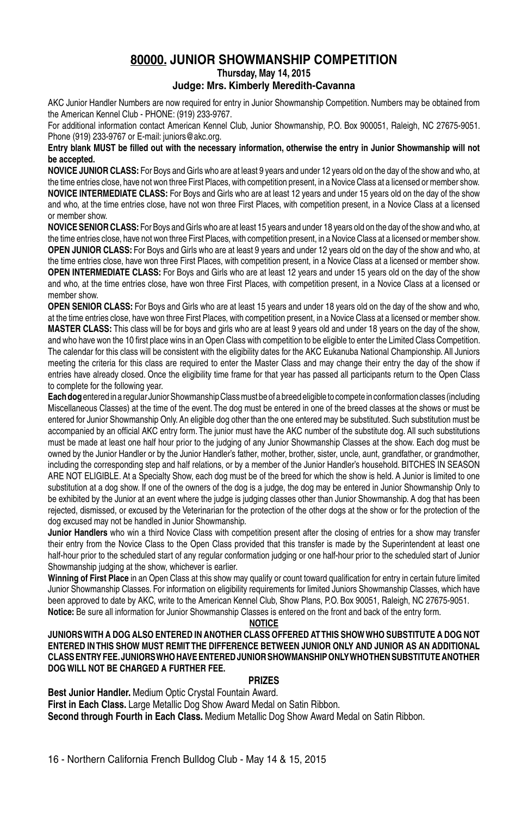#### **80000. JUNIOR SHOWMANSHIP COMPETITION**

**Thursday, May 14, 2015**

#### **Judge: Mrs. Kimberly Meredith-Cavanna**

AKC Junior Handler Numbers are now required for entry in Junior Showmanship Competition. Numbers may be obtained from the American Kennel Club - PHONE: (919) 233-9767.

For additional information contact American Kennel Club, Junior Showmanship, P.O. Box 900051, Raleigh, NC 27675-9051. Phone (919) 233-9767 or E-mail: juniors@akc.org.

#### **Entry blank MUST be filled out with the necessary information, otherwise the entry in Junior Showmanship will not be accepted.**

**NOVICE JUNIOR CLASS:** For Boys and Girls who are at least 9 years and under 12 years old on the day of the show and who, at the time entries close, have not won three First Places, with competition present, in a Novice Class at a licensed or member show. **NOVICE INTERMEDIATE CLASS:** For Boys and Girls who are at least 12 years and under 15 years old on the day of the show and who, at the time entries close, have not won three First Places, with competition present, in a Novice Class at a licensed or member show.

**NOVICE SENIOR CLASS:** For Boys and Girls who are at least 15 years and under 18 years old on the day of the show and who, at the time entries close, have not won three First Places, with competition present, in a Novice Class at a licensed or member show. **OPEN JUNIOR CLASS:** For Boys and Girls who are at least 9 years and under 12 years old on the day of the show and who, at the time entries close, have won three First Places, with competition present, in a Novice Class at a licensed or member show. **OPEN INTERMEDIATE CLASS:** For Boys and Girls who are at least 12 years and under 15 years old on the day of the show and who, at the time entries close, have won three First Places, with competition present, in a Novice Class at a licensed or member show.

**OPEN SENIOR CLASS:** For Boys and Girls who are at least 15 years and under 18 years old on the day of the show and who, at the time entries close, have won three First Places, with competition present, in a Novice Class at a licensed or member show. **Master Class:** This class will be for boys and girls who are at least 9 years old and under 18 years on the day of the show, and who have won the 10 first place wins in an Open Class with competition to be eligible to enter the Limited Class Competition. The calendar for this class will be consistent with the eligibility dates for the AKC Eukanuba National Championship. All Juniors meeting the criteria for this class are required to enter the Master Class and may change their entry the day of the show if entries have already closed. Once the eligibility time frame for that year has passed all participants return to the Open Class to complete for the following year.

**Each dog** entered in a regular Junior Showmanship Class must be of a breed eligible to compete in conformation classes (including Miscellaneous Classes) at the time of the event. The dog must be entered in one of the breed classes at the shows or must be entered for Junior Showmanship Only. An eligible dog other than the one entered may be substituted. Such substitution must be accompanied by an official AKC entry form. The junior must have the AKC number of the substitute dog. All such substitutions must be made at least one half hour prior to the judging of any Junior Showmanship Classes at the show. Each dog must be owned by the Junior Handler or by the Junior Handler's father, mother, brother, sister, uncle, aunt, grandfather, or grandmother, including the corresponding step and half relations, or by a member of the Junior Handler's household. BITCHES IN SEASON ARE NOT ELIGIBLE. At a Specialty Show, each dog must be of the breed for which the show is held. A Junior is limited to one substitution at a dog show. If one of the owners of the dog is a judge, the dog may be entered in Junior Showmanship Only to be exhibited by the Junior at an event where the judge is judging classes other than Junior Showmanship. A dog that has been rejected, dismissed, or excused by the Veterinarian for the protection of the other dogs at the show or for the protection of the dog excused may not be handled in Junior Showmanship.

**Junior Handlers** who win a third Novice Class with competition present after the closing of entries for a show may transfer their entry from the Novice Class to the Open Class provided that this transfer is made by the Superintendent at least one half-hour prior to the scheduled start of any regular conformation judging or one half-hour prior to the scheduled start of Junior Showmanship judging at the show, whichever is earlier.

**Winning of First Place** in an Open Class at this show may qualify or count toward qualification for entry in certain future limited Junior Showmanship Classes. For information on eligibility requirements for limited Juniors Showmanship Classes, which have been approved to date by AKC, write to the American Kennel Club, Show Plans, P.O. Box 90051, Raleigh, NC 27675-9051. **Notice:** Be sure all information for Junior Showmanship Classes is entered on the front and back of the entry form.

#### **NOTICE**

#### **JUNIORS WITH A DOG ALSO ENTERED IN ANOTHER CLASS OFFERED AT THIS SHOW WHO SUBSTITUTE A DOG NOT ENTERED IN THIS SHOW MUST REMIT THE DIFFERENCE BETWEEN JUNIOR ONLY AND JUNIOR AS AN ADDITIONAL CLASS ENTRY FEE. JUNIORS WHO HAVE ENTERED JUNIOR SHOWMANSHIP ONLY WHO THEN SUBSTITUTE ANOTHER DOG WILL NOT BE CHARGED A FURTHER FEE.**

#### **PRIZES**

**Best Junior Handler.** Medium Optic Crystal Fountain Award. **First in Each Class.** Large Metallic Dog Show Award Medal on Satin Ribbon. **Second through Fourth in Each Class.** Medium Metallic Dog Show Award Medal on Satin Ribbon.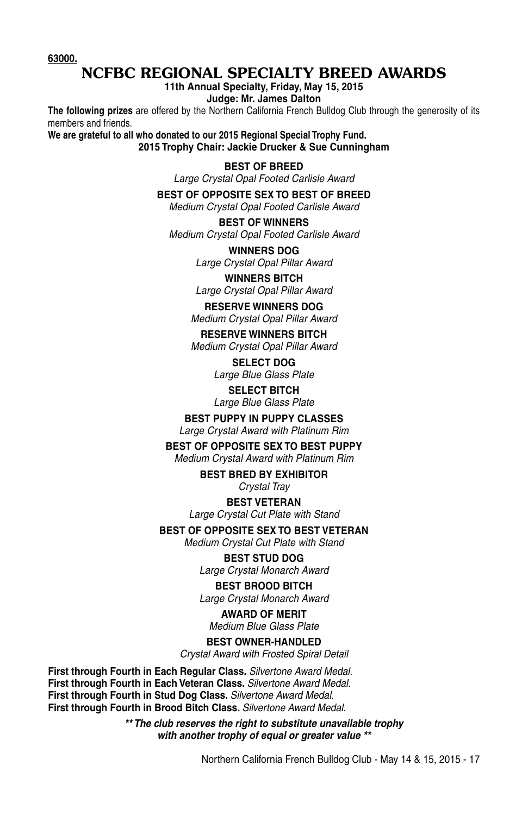**63000.**

### NCFBC REGIONAL SPECIALTY BREED AWARDS

**11th Annual Specialty, Friday, May 15, 2015**

**Judge: Mr. James Dalton**

**The following prizes** are offered by the Northern California French Bulldog Club through the generosity of its members and friends.

**We are grateful to all who donated to our 2015 Regional Special Trophy Fund. 2015 Trophy Chair: Jackie Drucker & Sue Cunningham**

#### **BEST OF BREED**

*Large Crystal Opal Footed Carlisle Award*

#### **BEST OF OPPOSITE SEX TO BEST OF BREED**

*Medium Crystal Opal Footed Carlisle Award*

**BEST OF WINNERS** *Medium Crystal Opal Footed Carlisle Award*

> **WINNERS DOG** *Large Crystal Opal Pillar Award*

> **WINNERS BITCH** *Large Crystal Opal Pillar Award*

#### **RESERVE WINNERS DOG** *Medium Crystal Opal Pillar Award*

**RESERVE WINNERS BITCH** *Medium Crystal Opal Pillar Award*

> **SELECT DOG** *Large Blue Glass Plate*

> **SELECT BITCH** *Large Blue Glass Plate*

#### **BEST PUPPY IN PUPPY CLASSES**

*Large Crystal Award with Platinum Rim*

#### **BEST OF OPPOSITE SEX TO BEST PUPPY**

*Medium Crystal Award with Platinum Rim*

#### **BEST BRED BY EXHIBITOR**

*Crystal Tray*

#### **BEST VETERAN**

*Large Crystal Cut Plate with Stand*

#### **BEST OF OPPOSITE SEX TO BEST VETERAN**

*Medium Crystal Cut Plate with Stand*

#### **BEST STUD DOG**

*Large Crystal Monarch Award*

#### **BEST BROOD BITCH**

*Large Crystal Monarch Award*

#### **AWARD OF MERIT**

*Medium Blue Glass Plate*

#### **BEST OWNER-HANDLED**

*Crystal Award with Frosted Spiral Detail*

**First through Fourth in Each Regular Class.** *Silvertone Award Medal.* **First through Fourth in Each Veteran Class.** *Silvertone Award Medal.* **First through Fourth in Stud Dog Class.** *Silvertone Award Medal.* **First through Fourth in Brood Bitch Class.** *Silvertone Award Medal.*

> *\*\* The club reserves the right to substitute unavailable trophy with another trophy of equal or greater value \*\**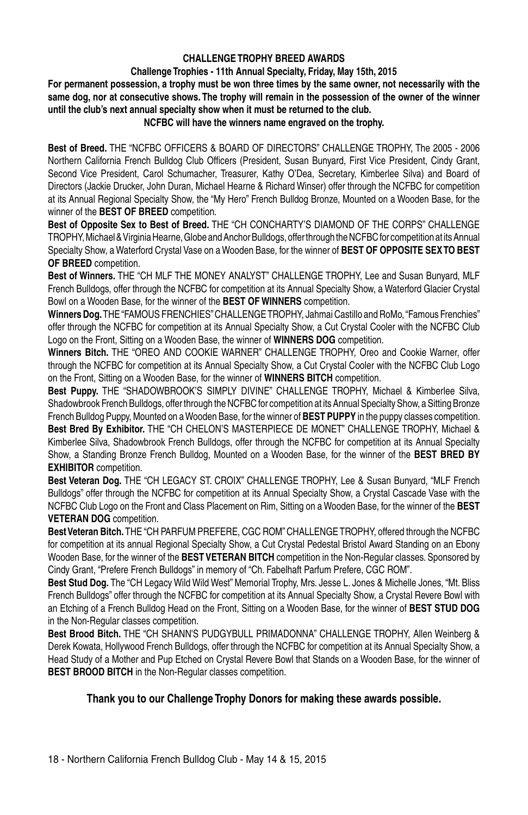#### **CHALLENGE TROPHY BREED AWARDS**

#### **Challenge Trophies - 11th Annual Specialty, Friday, May 15th, 2015**

**For permanent possession, a trophy must be won three times by the same owner, not necessarily with the same dog, nor at consecutive shows. The trophy will remain in the possession of the owner of the winner until the club's next annual specialty show when it must be returned to the club.**

#### **NCFBC will have the winners name engraved on the trophy.**

**Best of Breed.** The "NCFBC Officers & Board of Directors" Challenge Trophy, The 2005 - 2006 Northern California French Bulldog Club Officers (President, Susan Bunyard, First Vice President, Cindy Grant, Second Vice President, Carol Schumacher, Treasurer, Kathy O'Dea, Secretary, Kimberlee Silva) and Board of Directors (Jackie Drucker, John Duran, Michael Hearne & Richard Winser) offer through the NCFBC for competition at its Annual Regional Specialty Show, the "My Hero" French Bulldog Bronze, Mounted on a Wooden Base, for the winner of the **BEST OF BREED** competition.

**Best of Opposite Sex to Best of Breed.** The "CH Concharty's Diamond of the Corps" Challenge Trophy, Michael & Virginia Hearne, Globe and Anchor Bulldogs, offer through the NCFBC for competition at its Annual Specialty Show, a Waterford Crystal Vase on a Wooden Base, for the winner of **BEST OF OPPOSITE SEX TO BEST OF BREED** competition.

**Best of Winners.** The "CH MLF The Money Analyst" Challenge Trophy, Lee and Susan Bunyard, MLF French Bulldogs, offer through the NCFBC for competition at its Annual Specialty Show, a Waterford Glacier Crystal Bowl on a Wooden Base, for the winner of the **BEST OF WINNERS** competition.

Winners Dog. THE "FAMOUS FRENCHIES" CHALLENGE TROPHY, Jahmai Castillo and RoMo, "Famous Frenchies" offer through the NCFBC for competition at its Annual Specialty Show, a Cut Crystal Cooler with the NCFBC Club Logo on the Front, Sitting on a Wooden Base, the winner of **WINNERS DOG** competition.

**Winners Bitch.** The "Oreo and Cookie Warner" Challenge Trophy, Oreo and Cookie Warner, offer through the NCFBC for competition at its Annual Specialty Show, a Cut Crystal Cooler with the NCFBC Club Logo on the Front, Sitting on a Wooden Base, for the winner of **WINNERS BITCH** competition.

**Best Puppy.** THE "SHADOWBROOK'S SIMPLY DIVINE" CHALLENGE TROPHY, Michael & Kimberlee Silva, Shadowbrook French Bulldogs, offer through the NCFBC for competition at its Annual Specialty Show, a Sitting Bronze French Bulldog Puppy, Mounted on a Wooden Base, for the winner of **BEST PUPPY** in the puppy classes competition. **Best Bred By Exhibitor.** The "CH Chelon's Masterpiece de Monet" Challenge Trophy, Michael & Kimberlee Silva, Shadowbrook French Bulldogs, offer through the NCFBC for competition at its Annual Specialty Show, a Standing Bronze French Bulldog, Mounted on a Wooden Base, for the winner of the **BEST BRED BY EXHIBITOR** competition.

**Best Veteran Dog.** The "CH Legacy St. Croix" Challenge Trophy, Lee & Susan Bunyard, "MLF French Bulldogs" offer through the NCFBC for competition at its Annual Specialty Show, a Crystal Cascade Vase with the NCFBC Club Logo on the Front and Class Placement on Rim, Sitting on a Wooden Base, for the winner of the **BEST VETERAN DOG** competition.

Best Veteran Bitch. THE "CH PARFUM PREFERE, CGC ROM" CHALLENGE TROPHY, offered through the NCFBC for competition at its annual Regional Specialty Show, a Cut Crystal Pedestal Bristol Award Standing on an Ebony Wooden Base, for the winner of the **BEST VETERAN BITCH** competition in the Non-Regular classes. Sponsored by Cindy Grant, "Prefere French Bulldogs" in memory of "Ch. Fabelhaft Parfum Prefere, CGC ROM".

**Best Stud Dog.** The "CH Legacy Wild Wild West" Memorial Trophy, Mrs. Jesse L. Jones & Michelle Jones, "Mt. Bliss French Bulldogs" offer through the NCFBC for competition at its Annual Specialty Show, a Crystal Revere Bowl with an Etching of a French Bulldog Head on the Front, Sitting on a Wooden Base, for the winner of **BEST STUD DOG**  in the Non-Regular classes competition.

Best Brood Bitch. THE "CH SHANN'S PUDGYBULL PRIMADONNA" CHALLENGE TROPHY, Allen Weinberg & Derek Kowata, Hollywood French Bulldogs, offer through the NCFBC for competition at its Annual Specialty Show, a Head Study of a Mother and Pup Etched on Crystal Revere Bowl that Stands on a Wooden Base, for the winner of **BEST BROOD BITCH** in the Non-Regular classes competition.

#### **Thank you to our Challenge Trophy Donors for making these awards possible.**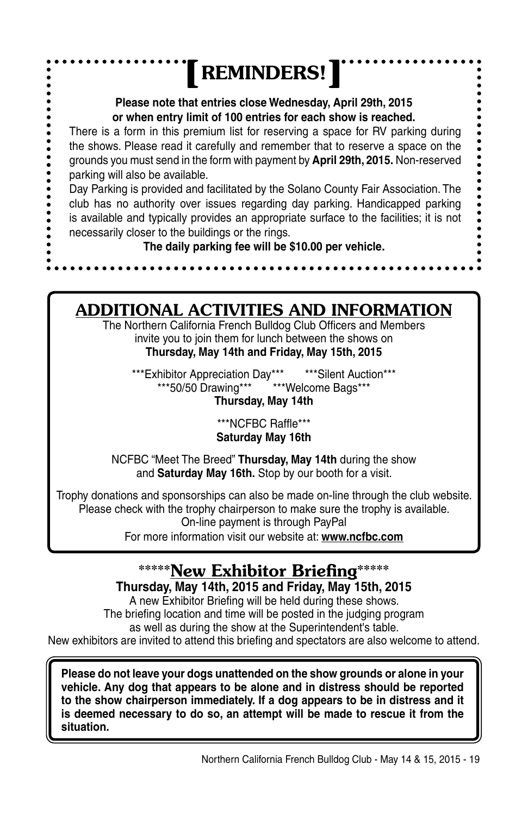#### **REMINDERS!**  $\bullet$  $\ddot{\bullet}$ **Please note that entries close Wednesday, April 29th, 2015 or when entry limit of 100 entries for each show is reached.** ..... There is a form in this premium list for reserving a space for RV parking during the shows. Please read it carefully and remember that to reserve a space on the grounds you must send in the form with payment by **April 29th, 2015.** Non-reserved parking will also be available. Day Parking is provided and facilitated by the Solano County Fair Association. The club has no authority over issues regarding day parking. Handicapped parking is available and typically provides an appropriate surface to the facilities; it is not necessarily closer to the buildings or the rings. **The daily parking fee will be \$10.00 per vehicle.**

### ADDITIONAL ACTIVITIES AND INFORMATION

The Northern California French Bulldog Club Officers and Members invite you to join them for lunch between the shows on **Thursday, May 14th and Friday, May 15th, 2015**

\*\*\*Exhibitor Appreciation Day\*\*\* \*\*\*\*Silent Auction\*\*\*<br>\*\*\*50/50 Drawing\*\*\* \*\*\*\*Welcome Bags\*\*\* \*\*\*Welcome Bags\*\*\*

**Thursday, May 14th**

\*\*\*NCFBC Raffle\*\*\* **Saturday May 16th**

NCFBC "Meet The Breed" **Thursday, May 14th** during the show and **Saturday May 16th.** Stop by our booth for a visit.

Trophy donations and sponsorships can also be made on-line through the club website. Please check with the trophy chairperson to make sure the trophy is available. On-line payment is through PayPal For more information visit our website at: **www.ncfbc.com**

## \*\*\*\*\*New Exhibitor Briefing\*\*

**Thursday, May 14th, 2015 and Friday, May 15th, 2015**

A new Exhibitor Briefing will be held during these shows. The briefing location and time will be posted in the judging program as well as during the show at the Superintendent's table. New exhibitors are invited to attend this briefing and spectators are also welcome to attend.

**Please do not leave your dogs unattended on the show grounds or alone in your vehicle. Any dog that appears to be alone and in distress should be reported to the show chairperson immediately. If a dog appears to be in distress and it is deemed necessary to do so, an attempt will be made to rescue it from the situation.**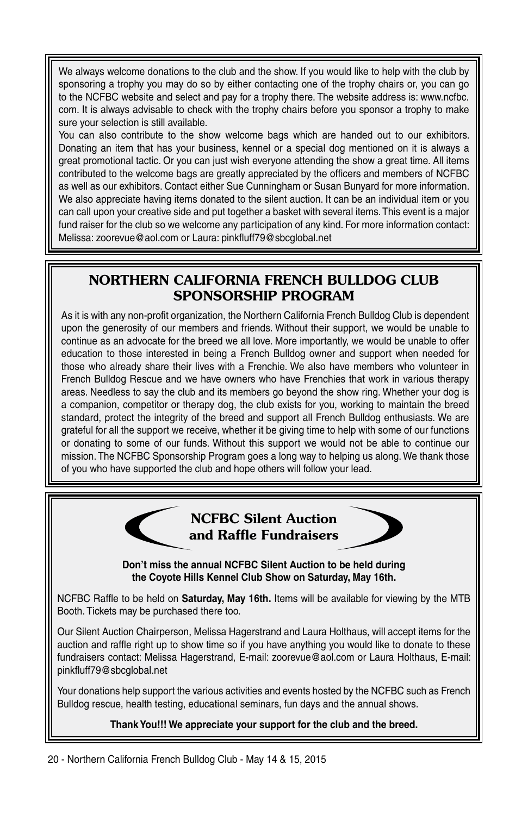We always welcome donations to the club and the show. If you would like to help with the club by sponsoring a trophy you may do so by either contacting one of the trophy chairs or, you can go to the NCFBC website and select and pay for a trophy there. The website address is: www.ncfbc. com. It is always advisable to check with the trophy chairs before you sponsor a trophy to make sure your selection is still available.

You can also contribute to the show welcome bags which are handed out to our exhibitors. Donating an item that has your business, kennel or a special dog mentioned on it is always a great promotional tactic. Or you can just wish everyone attending the show a great time. All items contributed to the welcome bags are greatly appreciated by the officers and members of NCFBC as well as our exhibitors. Contact either Sue Cunningham or Susan Bunyard for more information. We also appreciate having items donated to the silent auction. It can be an individual item or you can call upon your creative side and put together a basket with several items. This event is a major fund raiser for the club so we welcome any participation of any kind. For more information contact: Melissa: zoorevue@aol.com or Laura: pinkfluff79@sbcglobal.net

#### NORTHERN CALIFORNIA FRENCH BULLDOG CLUB SPONSORSHIP PROGRAM

As it is with any non-profit organization, the Northern California French Bulldog Club is dependent upon the generosity of our members and friends. Without their support, we would be unable to continue as an advocate for the breed we all love. More importantly, we would be unable to offer education to those interested in being a French Bulldog owner and support when needed for those who already share their lives with a Frenchie. We also have members who volunteer in French Bulldog Rescue and we have owners who have Frenchies that work in various therapy areas. Needless to say the club and its members go beyond the show ring. Whether your dog is a companion, competitor or therapy dog, the club exists for you, working to maintain the breed standard, protect the integrity of the breed and support all French Bulldog enthusiasts. We are grateful for all the support we receive, whether it be giving time to help with some of our functions or donating to some of our funds. Without this support we would not be able to continue our mission. The NCFBC Sponsorship Program goes a long way to helping us along. We thank those of you who have supported the club and hope others will follow your lead.





**Don't miss the annual NCFBC Silent Auction to be held during the Coyote Hills Kennel Club Show on Saturday, May 16th.**

NCFBC Raffle to be held on **Saturday, May 16th.** Items will be available for viewing by the MTB Booth. Tickets may be purchased there too.

Our Silent Auction Chairperson, Melissa Hagerstrand and Laura Holthaus, will accept items for the auction and raffle right up to show time so if you have anything you would like to donate to these fundraisers contact: Melissa Hagerstrand, E-mail: zoorevue@aol.com or Laura Holthaus, E-mail: pinkfluff79@sbcglobal.net

Your donations help support the various activities and events hosted by the NCFBC such as French Bulldog rescue, health testing, educational seminars, fun days and the annual shows.

#### **Thank You!!! We appreciate your support for the club and the breed.**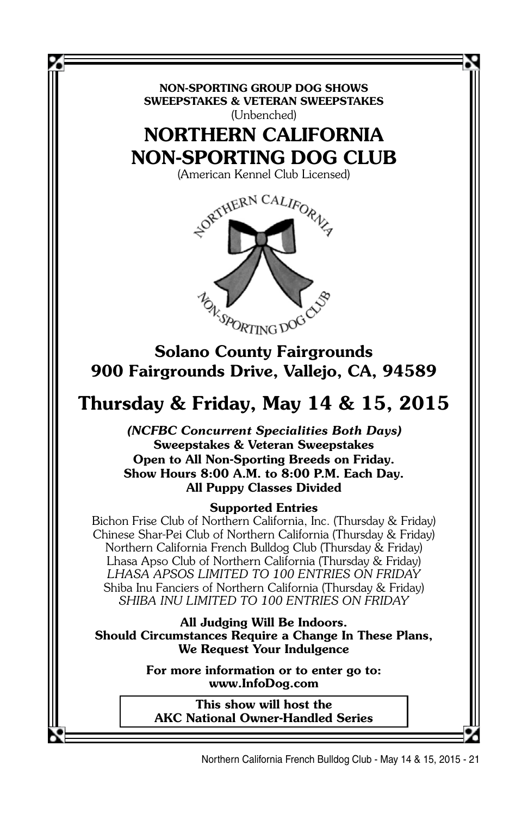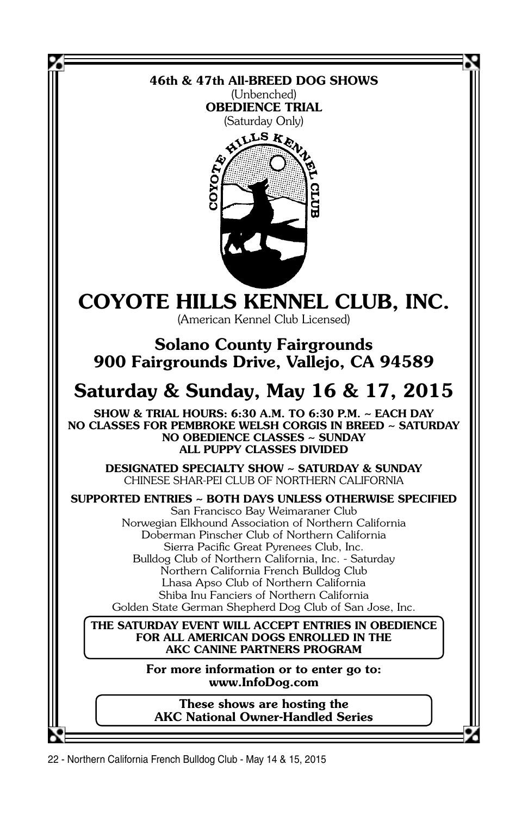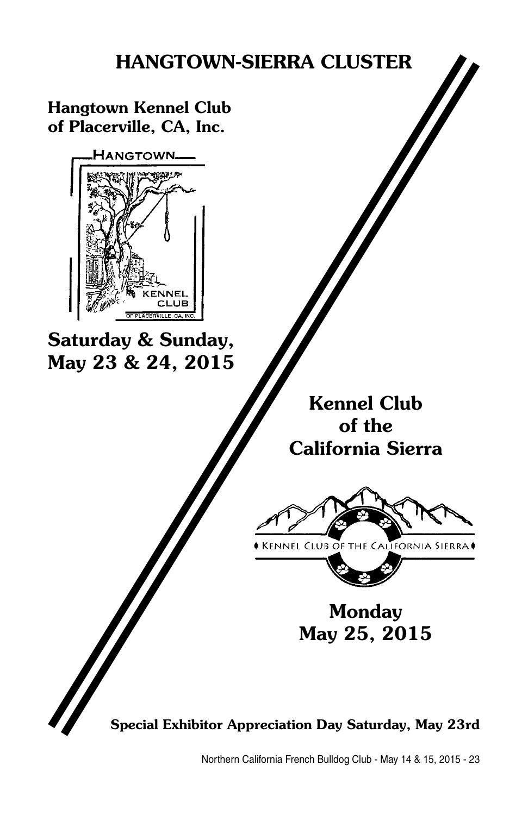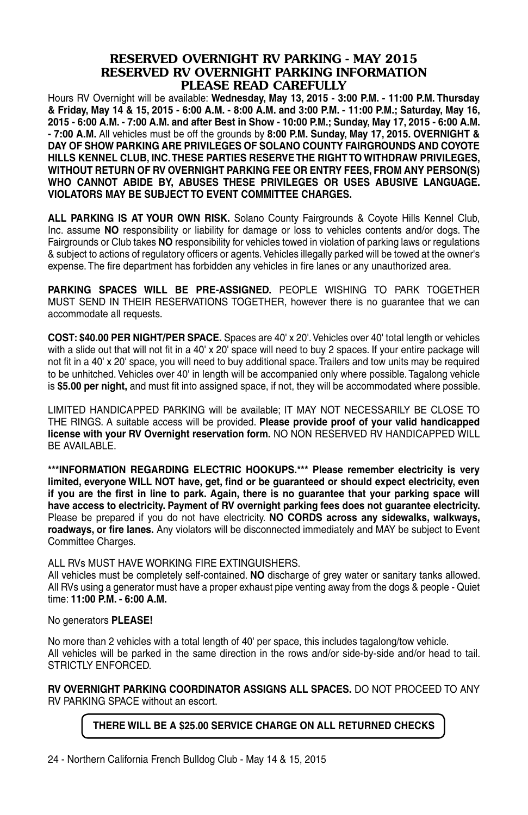#### RESERVED OVERNIGHT RV PARKING - MAY 2015 RESERVED RV OVERNIGHT PARKING INFORMATION PLEASE READ CAREFULLY

Hours RV Overnight will be available: **Wednesday, May 13, 2015 - 3:00 P.M. - 11:00 P.M. Thursday & Friday, May 14 & 15, 2015 - 6:00 A.M. - 8:00 A.M. and 3:00 P.M. - 11:00 P.M.; Saturday, May 16, 2015 - 6:00 A.M. - 7:00 A.M. and after Best in Show - 10:00 P.M.; Sunday, May 17, 2015 - 6:00 A.M. - 7:00 A.M.** All vehicles must be off the grounds by **8:00 P.M. Sunday, May 17, 2015. OVERNIGHT & DAY OF SHOW PARKING ARE PRIVILEGES OF SOLANO COUNTY FAIRGROUNDS AND COYOTE HILLS KENNEL CLUB, INC. THESE PARTIES RESERVE THE RIGHT TO WITHDRAW PRIVILEGES, WITHOUT RETURN OF RV OVERNIGHT PARKING FEE OR ENTRY FEES, FROM ANY PERSON(S) WHO CANNOT ABIDE BY, ABUSES THESE PRIVILEGES OR USES ABUSIVE LANGUAGE. VIOLATORS MAY BE SUBJECT TO EVENT COMMITTEE CHARGES.**

**ALL PARKING IS AT YOUR OWN RISK.** Solano County Fairgrounds & Coyote Hills Kennel Club, Inc. assume **NO** responsibility or liability for damage or loss to vehicles contents and/or dogs. The Fairgrounds or Club takes **NO** responsibility for vehicles towed in violation of parking laws or regulations & subject to actions of regulatory officers or agents. Vehicles illegally parked will be towed at the owner's expense. The fire department has forbidden any vehicles in fire lanes or any unauthorized area.

**PARKING SPACES WILL BE PRE-ASSIGNED.** PEOPLE WISHING TO PARK TOGETHER MUST SEND IN THEIR RESERVATIONS TOGETHER, however there is no guarantee that we can accommodate all requests.

**COST: \$40.00 PER NIGHT/PER SPACE.** Spaces are 40' x 20'. Vehicles over 40' total length or vehicles with a slide out that will not fit in a 40' x 20' space will need to buy 2 spaces. If your entire package will not fit in a 40' x 20' space, you will need to buy additional space. Trailers and tow units may be required to be unhitched. Vehicles over 40' in length will be accompanied only where possible. Tagalong vehicle is **\$5.00 per night,** and must fit into assigned space, if not, they will be accommodated where possible.

LIMITED HANDICAPPED PARKING will be available; IT MAY NOT NECESSARILY BE CLOSE TO THE RINGS. A suitable access will be provided. **Please provide proof of your valid handicapped license with your RV Overnight reservation form.** NO NON RESERVED RV HANDICAPPED WILL BE AVAILABLE.

**\*\*\*INFORMATION REGARDING ELECTRIC HOOKUPS.\*\*\* Please remember electricity is very limited, everyone WILL NOT have, get, find or be guaranteed or should expect electricity, even if you are the first in line to park. Again, there is no guarantee that your parking space will have access to electricity. Payment of RV overnight parking fees does not guarantee electricity.**  Please be prepared if you do not have electricity. **NO CORDS across any sidewalks, walkways, roadways, or fire lanes.** Any violators will be disconnected immediately and MAY be subject to Event Committee Charges.

ALL RVs MUST HAVE WORKING FIRE EXTINGUISHERS.

All vehicles must be completely self-contained. **NO** discharge of grey water or sanitary tanks allowed. All RVs using a generator must have a proper exhaust pipe venting away from the dogs & people - Quiet time: **11:00 P.M. - 6:00 A.M.**

#### No generators **PLEASE!**

No more than 2 vehicles with a total length of 40' per space, this includes tagalong/tow vehicle. All vehicles will be parked in the same direction in the rows and/or side-by-side and/or head to tail. STRICTLY ENFORCED.

**RV OVERNIGHT PARKING COORDINATOR ASSIGNS ALL SPACES.** DO NOT PROCEED TO ANY RV PARKING SPACE without an escort.

#### **THERE WILL BE A \$25.00 SERVICE CHARGE ON ALL RETURNED CHECKS**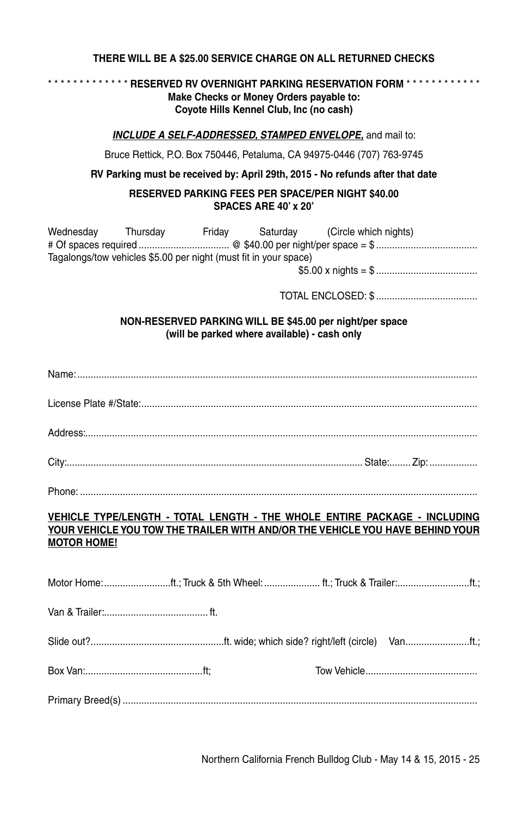#### **THERE WILL BE A \$25.00 SERVICE CHARGE ON ALL RETURNED CHECKS**

#### \* \* \* \* \* \* \* \* \* \* \* \* \* **RESERVED RV OVERNIGHT PARKING RESERVATION FORM** \* \* \* \* \* \* \* \* \* \* \* \* **Make Checks or Money Orders payable to: Coyote Hills Kennel Club, Inc (no cash)**

#### *INCLUDE A SELF-ADDRESSED, STAMPED ENVELOPE,* and mail to:

Bruce Rettick, P.O. Box 750446, Petaluma, CA 94975-0446 (707) 763-9745

**RV Parking must be received by: April 29th, 2015 - No refunds after that date**

#### **RESERVED PARKING FEES PER SPACE/PER NIGHT \$40.00 SPACES ARE 40' x 20'**

| Wednesday                                                        | Thursdav | Fridav | Saturdav | (Circle which nights) |  |
|------------------------------------------------------------------|----------|--------|----------|-----------------------|--|
|                                                                  |          |        |          |                       |  |
| Tagalongs/tow vehicles \$5.00 per night (must fit in your space) |          |        |          |                       |  |
|                                                                  |          |        |          |                       |  |
|                                                                  |          |        |          |                       |  |

TOTAL ENCLOSED: \$ ......................................

#### **NON-RESERVED PARKING WILL BE \$45.00 per night/per space (will be parked where available) - cash only**

Phone: .....................................................................................................................................................

#### **VEHICLE TYPE/LENGTH - TOTAL LENGTH - THE WHOLE ENTIRE PACKAGE - INCLUDING YOUR VEHICLE YOU TOW THE TRAILER WITH AND/OR THE VEHICLE YOU HAVE BEHIND YOUR MOTOR HOME!**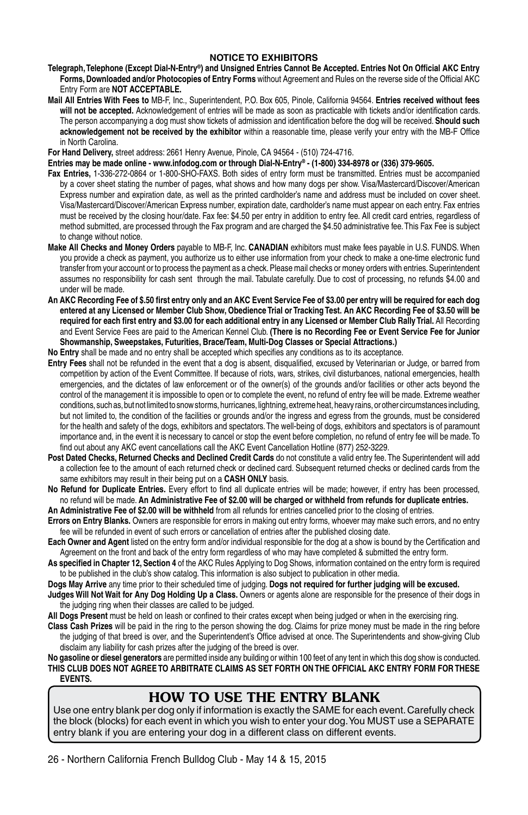#### **NOTICE TO EXHIBITORS**

- **Telegraph, Telephone (Except Dial-N-Entry®) and Unsigned Entries Cannot Be Accepted. Entries Not On Official AKC Entry Forms, Downloaded and/or Photocopies of Entry Forms** without Agreement and Rules on the reverse side of the Official AKC Entry Form are **NOT ACCEPTABLE.**
- **Mail All Entries With Fees to** MB-F, Inc., Superintendent, P.O. Box 605, Pinole, California 94564. **Entries received without fees will not be accepted.** Acknowledgement of entries will be made as soon as practicable with tickets and/or identification cards. The person accompanying a dog must show tickets of admission and identification before the dog will be received. **Should such acknowledgement not be received by the exhibitor** within a reasonable time, please verify your entry with the MB-F Office in North Carolina.

**For Hand Delivery,** street address: 2661 Henry Avenue, Pinole, CA 94564 - (510) 724-4716.

**Entries may be made online - www.infodog.com or through Dial-N-Entry® - (1-800) 334-8978 or (336) 379-9605.**

- **Fax Entries,** 1-336-272-0864 or 1-800-SHO-FAXS. Both sides of entry form must be transmitted. Entries must be accompanied by a cover sheet stating the number of pages, what shows and how many dogs per show. Visa/Mastercard/Discover/American Express number and expiration date, as well as the printed cardholder's name and address must be included on cover sheet. Visa/Mastercard/Discover/American Express number, expiration date, cardholder's name must appear on each entry. Fax entries must be received by the closing hour/date. Fax fee: \$4.50 per entry in addition to entry fee. All credit card entries, regardless of method submitted, are processed through the Fax program and are charged the \$4.50 administrative fee. This Fax Fee is subject to change without notice.
- **Make All Checks and Money Orders** payable to MB-F, Inc. **CANADIAN** exhibitors must make fees payable in U.S. FUNDS. When you provide a check as payment, you authorize us to either use information from your check to make a one-time electronic fund transfer from your account or to process the payment as a check. Please mail checks or money orders with entries. Superintendent assumes no responsibility for cash sent through the mail. Tabulate carefully. Due to cost of processing, no refunds \$4.00 and under will be made.
- **An AKC Recording Fee of \$.50 first entry only and an AKC Event Service Fee of \$3.00 per entry will be required for each dog entered at any Licensed or Member Club Show, Obedience Trial or Tracking Test. An AKC Recording Fee of \$3.50 will be**  required for each first entry and \$3.00 for each additional entry in any Licensed or Member Club Rally Trial. All Recording and Event Service Fees are paid to the American Kennel Club. **(There is no Recording Fee or Event Service Fee for Junior Showmanship, Sweepstakes, Futurities, Brace/Team, Multi-Dog Classes or Special Attractions.)**

**No Entry** shall be made and no entry shall be accepted which specifies any conditions as to its acceptance.

- **Entry Fees** shall not be refunded in the event that a dog is absent, disqualified, excused by Veterinarian or Judge, or barred from competition by action of the Event Committee. If because of riots, wars, strikes, civil disturbances, national emergencies, health emergencies, and the dictates of law enforcement or of the owner(s) of the grounds and/or facilities or other acts beyond the control of the management it is impossible to open or to complete the event, no refund of entry fee will be made. Extreme weather conditions, such as, but not limited to snow storms, hurricanes, lightning, extreme heat, heavy rains, or other circumstances including, but not limited to, the condition of the facilities or grounds and/or the ingress and egress from the grounds, must be considered for the health and safety of the dogs, exhibitors and spectators. The well-being of dogs, exhibitors and spectators is of paramount importance and, in the event it is necessary to cancel or stop the event before completion, no refund of entry fee will be made. To find out about any AKC event cancellations call the AKC Event Cancellation Hotline (877) 252-3229.
- **Post Dated Checks, Returned Checks and Declined Credit Cards** do not constitute a valid entry fee. The Superintendent will add a collection fee to the amount of each returned check or declined card. Subsequent returned checks or declined cards from the same exhibitors may result in their being put on a **CASH ONLY** basis.
- **No Refund for Duplicate Entries.** Every effort to find all duplicate entries will be made; however, if entry has been processed, no refund will be made. **An Administrative Fee of \$2.00 will be charged or withheld from refunds for duplicate entries.**

**An Administrative Fee of \$2.00 will be withheld** from all refunds for entries cancelled prior to the closing of entries.

- **Errors on Entry Blanks.** Owners are responsible for errors in making out entry forms, whoever may make such errors, and no entry fee will be refunded in event of such errors or cancellation of entries after the published closing date.
- **Each Owner and Agent** listed on the entry form and/or individual responsible for the dog at a show is bound by the Certification and Agreement on the front and back of the entry form regardless of who may have completed & submitted the entry form.
- **As specified in Chapter 12, Section 4** of the AKC Rules Applying to Dog Shows, information contained on the entry form is required to be published in the club's show catalog. This information is also subject to publication in other media.
- **Dogs May Arrive** any time prior to their scheduled time of judging. **Dogs not required for further judging will be excused.**
- **Judges Will Not Wait for Any Dog Holding Up a Class.** Owners or agents alone are responsible for the presence of their dogs in the judging ring when their classes are called to be judged.

**All Dogs Present** must be held on leash or confined to their crates except when being judged or when in the exercising ring.

**Class Cash Prizes** will be paid in the ring to the person showing the dog. Claims for prize money must be made in the ring before the judging of that breed is over, and the Superintendent's Office advised at once. The Superintendents and show-giving Club disclaim any liability for cash prizes after the judging of the breed is over.

**No gasoline or diesel generators** are permitted inside any building or within 100 feet of any tent in which this dog show is conducted. THIS CLUB DOES NOT AGREE TO ARBITRATE CLAIMS AS SET FORTH ON THE OFFICIAL AKC ENTRY FORM FOR THESE **eventS.**

### HOW TO USE THE ENTRY BLANK

Use one entry blank per dog only if information is exactly the SAME for each event. Carefully check the block (blocks) for each event in which you wish to enter your dog. You MUST use a SEPARATE entry blank if you are entering your dog in a different class on different events.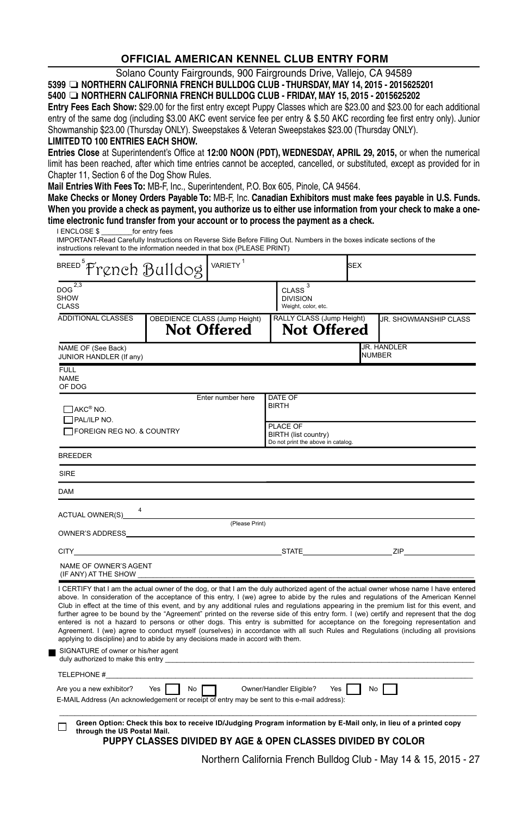#### **OFFICIAL AMERICAN KENNEL CLUB ENTRY FORM**

Solano County Fairgrounds, 900 Fairgrounds Drive, Vallejo, CA 94589

**<sup>5399</sup>** ❏ **NORTHERN CALIFORNIA FRENCH BULLDOG CLUB - THURSDAY, may 14, 2015 - 2015625201**

#### **<sup>5400</sup>** ❏ **NORTHERN CALIFORNIA FRENCH BULLDOG CLUB - FRIDAY, may 15, 2015 - 2015625202**

**Entry Fees Each Show:** \$29.00 for the first entry except Puppy Classes which are \$23.00 and \$23.00 for each additional entry of the same dog (including \$3.00 AKC event service fee per entry & \$.50 AKC recording fee first entry only). Junior Showmanship \$23.00 (Thursday Only). Sweepstakes & Veteran Sweepstakes \$23.00 (Thursday Only).

#### **Limited TO 100 ENTRIES EACH SHOW.**

■

**Entries Close** at Superintendent's Office at **12:00 NOON (PDT), WEDNESDAY, APRIL 29, 2015,** or when the numerical limit has been reached, after which time entries cannot be accepted, cancelled, or substituted, except as provided for in Chapter 11, Section 6 of the Dog Show Rules.

**Mail Entries With Fees To:** MB-F, Inc., Superintendent, P.O. Box 605, Pinole, CA 94564.

I ENCLOSE \$ \_\_\_\_\_\_\_\_for entry fees **Make Checks or Money Orders Payable To:** MB-F, Inc. **Canadian Exhibitors must make fees payable in U.S. Funds. When you provide a check as payment, you authorize us to either use information from your check to make a onetime electronic fund transfer from your account or to process the payment as a check.**

| IMPORTANT-Read Carefully Instructions on Reverse Side Before Filling Out. Numbers in the boxes indicate sections of the<br>instructions relevant to the information needed in that box (PLEASE PRINT) |                                      |                    |                                                                        |            |                                                                                                                                                                                                                                                                                                                                                                                                                                                                                                                                                                                                                                                                                                                                                                                                                                       |
|-------------------------------------------------------------------------------------------------------------------------------------------------------------------------------------------------------|--------------------------------------|--------------------|------------------------------------------------------------------------|------------|---------------------------------------------------------------------------------------------------------------------------------------------------------------------------------------------------------------------------------------------------------------------------------------------------------------------------------------------------------------------------------------------------------------------------------------------------------------------------------------------------------------------------------------------------------------------------------------------------------------------------------------------------------------------------------------------------------------------------------------------------------------------------------------------------------------------------------------|
| BREED <sup>5</sup> French Bulldog WARIETY <sup>1</sup>                                                                                                                                                |                                      |                    |                                                                        | <b>SEX</b> |                                                                                                                                                                                                                                                                                                                                                                                                                                                                                                                                                                                                                                                                                                                                                                                                                                       |
| $DOG^{\overline{2,3}}$<br><b>SHOW</b><br><b>CLASS</b>                                                                                                                                                 |                                      |                    | $CLASS$ <sup>3</sup><br><b>DIVISION</b><br>Weight, color, etc.         |            |                                                                                                                                                                                                                                                                                                                                                                                                                                                                                                                                                                                                                                                                                                                                                                                                                                       |
| ADDITIONAL CLASSES                                                                                                                                                                                    | <b>OBEDIENCE CLASS (Jump Height)</b> | <b>Not Offered</b> | RALLY CLASS (Jump Height)<br><b>Not Offered</b>                        |            | JR. SHOWMANSHIP CLASS                                                                                                                                                                                                                                                                                                                                                                                                                                                                                                                                                                                                                                                                                                                                                                                                                 |
| NAME OF (See Back)<br>JUNIOR HANDLER (If any)                                                                                                                                                         |                                      |                    | JR. HANDLER<br><b>NUMBER</b>                                           |            |                                                                                                                                                                                                                                                                                                                                                                                                                                                                                                                                                                                                                                                                                                                                                                                                                                       |
| <b>FULL</b><br><b>NAME</b><br>OF DOG                                                                                                                                                                  |                                      |                    |                                                                        |            |                                                                                                                                                                                                                                                                                                                                                                                                                                                                                                                                                                                                                                                                                                                                                                                                                                       |
| $\Box$ AKC® NO.<br>PAL/ILP NO.                                                                                                                                                                        |                                      | Enter number here  | DATE OF<br><b>BIRTH</b>                                                |            |                                                                                                                                                                                                                                                                                                                                                                                                                                                                                                                                                                                                                                                                                                                                                                                                                                       |
| FOREIGN REG NO. & COUNTRY                                                                                                                                                                             |                                      |                    | PLACE OF<br>BIRTH (list country)<br>Do not print the above in catalog. |            |                                                                                                                                                                                                                                                                                                                                                                                                                                                                                                                                                                                                                                                                                                                                                                                                                                       |
| <b>BREEDER</b>                                                                                                                                                                                        |                                      |                    |                                                                        |            |                                                                                                                                                                                                                                                                                                                                                                                                                                                                                                                                                                                                                                                                                                                                                                                                                                       |
| SIRE                                                                                                                                                                                                  |                                      |                    |                                                                        |            |                                                                                                                                                                                                                                                                                                                                                                                                                                                                                                                                                                                                                                                                                                                                                                                                                                       |
| <b>DAM</b>                                                                                                                                                                                            |                                      |                    |                                                                        |            |                                                                                                                                                                                                                                                                                                                                                                                                                                                                                                                                                                                                                                                                                                                                                                                                                                       |
| ACTUAL OWNER(S) 4 (Please Print)                                                                                                                                                                      |                                      |                    |                                                                        |            |                                                                                                                                                                                                                                                                                                                                                                                                                                                                                                                                                                                                                                                                                                                                                                                                                                       |
|                                                                                                                                                                                                       |                                      |                    |                                                                        |            |                                                                                                                                                                                                                                                                                                                                                                                                                                                                                                                                                                                                                                                                                                                                                                                                                                       |
| <b>CITY CITY CITY</b>                                                                                                                                                                                 |                                      |                    |                                                                        |            |                                                                                                                                                                                                                                                                                                                                                                                                                                                                                                                                                                                                                                                                                                                                                                                                                                       |
| NAME OF OWNER'S AGENT<br>(IF ANY) AT THE SHOW                                                                                                                                                         |                                      |                    |                                                                        |            |                                                                                                                                                                                                                                                                                                                                                                                                                                                                                                                                                                                                                                                                                                                                                                                                                                       |
| applying to discipline) and to abide by any decisions made in accord with them.<br>SIGNATURE of owner or his/her agent<br>duly authorized to make this entry                                          |                                      |                    |                                                                        |            | I CERTIFY that I am the actual owner of the dog, or that I am the duly authorized agent of the actual owner whose name I have entered<br>above. In consideration of the acceptance of this entry, I (we) agree to abide by the rules and regulations of the American Kennel<br>Club in effect at the time of this event, and by any additional rules and regulations appearing in the premium list for this event, and<br>further agree to be bound by the "Agreement" printed on the reverse side of this entry form. I (we) certify and represent that the dog<br>entered is not a hazard to persons or other dogs. This entry is submitted for acceptance on the foregoing representation and<br>Agreement. I (we) agree to conduct myself (ourselves) in accordance with all such Rules and Regulations (including all provisions |
| TELEPHONE #                                                                                                                                                                                           |                                      |                    |                                                                        |            |                                                                                                                                                                                                                                                                                                                                                                                                                                                                                                                                                                                                                                                                                                                                                                                                                                       |
| Are you a new exhibitor?<br>E-MAIL Address (An acknowledgement or receipt of entry may be sent to this e-mail address):                                                                               | Yes  <br>No                          |                    | Yes  <br>Owner/Handler Eligible?                                       | No         |                                                                                                                                                                                                                                                                                                                                                                                                                                                                                                                                                                                                                                                                                                                                                                                                                                       |
| through the US Postal Mail.                                                                                                                                                                           |                                      |                    | PUPPY CLASSES DIVIDED BY AGE & OPEN CLASSES DIVIDED BY COLOR           |            | Green Option: Check this box to receive ID/Judging Program information by E-Mail only, in lieu of a printed copy                                                                                                                                                                                                                                                                                                                                                                                                                                                                                                                                                                                                                                                                                                                      |
|                                                                                                                                                                                                       |                                      |                    |                                                                        |            | Northern California French Bulldog Club - May 14 & 15, 2015 - 27                                                                                                                                                                                                                                                                                                                                                                                                                                                                                                                                                                                                                                                                                                                                                                      |